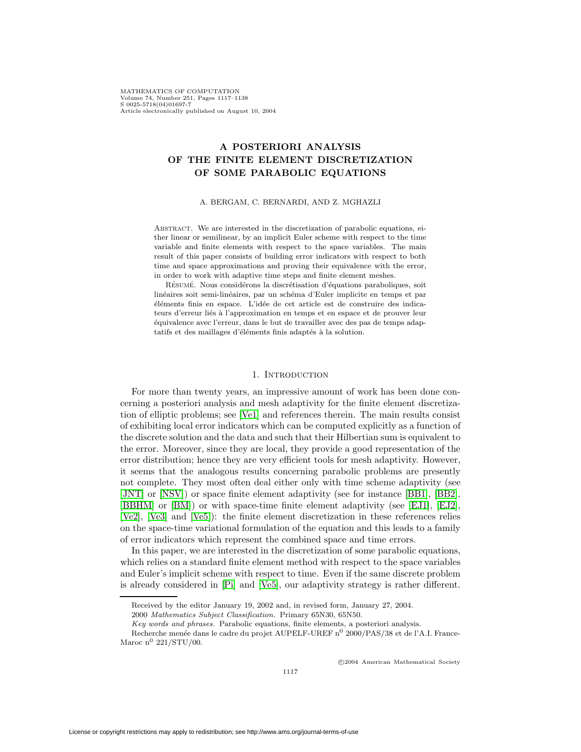# **A POSTERIORI ANALYSIS OF THE FINITE ELEMENT DISCRETIZATION OF SOME PARABOLIC EQUATIONS**

#### A. BERGAM, C. BERNARDI, AND Z. MGHAZLI

Abstract. We are interested in the discretization of parabolic equations, either linear or semilinear, by an implicit Euler scheme with respect to the time variable and finite elements with respect to the space variables. The main result of this paper consists of building error indicators with respect to both time and space approximations and proving their equivalence with the error, in order to work with adaptive time steps and finite element meshes.

RÉSUMÉ. Nous considérons la discrétisation d'équations paraboliques, soit linéaires soit semi-linéaires, par un schéma d'Euler implicite en temps et par éléments finis en espace. L'idée de cet article est de construire des indicateurs d'erreur liés à l'approximation en temps et en espace et de prouver leur équivalence avec l'erreur, dans le but de travailler avec des pas de temps adaptatifs et des maillages d'éléments finis adaptés à la solution.

### 1. INTRODUCTION

For more than twenty years, an impressive amount of work has been done concerning a posteriori analysis and mesh adaptivity for the finite element discretization of elliptic problems; see [\[Ve1\]](#page-20-0) and references therein. The main results consist of exhibiting local error indicators which can be computed explicitly as a function of the discrete solution and the data and such that their Hilbertian sum is equivalent to the error. Moreover, since they are local, they provide a good representation of the error distribution; hence they are very efficient tools for mesh adaptivity. However, it seems that the analogous results concerning parabolic problems are presently not complete. They most often deal either only with time scheme adaptivity (see [\[JNT\]](#page-20-1) or [\[NSV\]](#page-20-2)) or space finite element adaptivity (see for instance [\[BB1\]](#page-20-3), [\[BB2\]](#page-20-4), [\[BBHM\]](#page-20-5) or [\[BM\]](#page-20-6)) or with space-time finite element adaptivity (see [\[EJ1\]](#page-20-7), [\[EJ2\]](#page-20-8), [\[Ve2\]](#page-20-9), [\[Ve3\]](#page-20-10) and [\[Ve5\]](#page-21-0)): the finite element discretization in these references relies on the space-time variational formulation of the equation and this leads to a family of error indicators which represent the combined space and time errors.

In this paper, we are interested in the discretization of some parabolic equations, which relies on a standard finite element method with respect to the space variables and Euler's implicit scheme with respect to time. Even if the same discrete problem is already considered in [\[Pi\]](#page-20-11) and [\[Ve5\]](#page-21-0), our adaptivity strategy is rather different.

c 2004 American Mathematical Society

Received by the editor January 19, 2002 and, in revised form, January 27, 2004.

<sup>2000</sup> Mathematics Subject Classification. Primary 65N30, 65N50.

Key words and phrases. Parabolic equations, finite elements, a posteriori analysis.

Recherche menée dans le cadre du projet AUPELF-UREF  $n^0$  2000/PAS/38 et de l'A.I. France-Maroc  $n^0$  221/STU/00.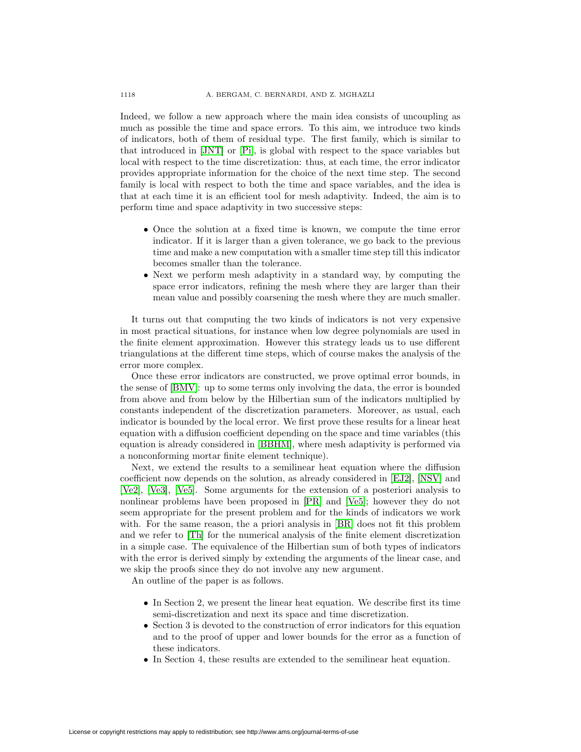Indeed, we follow a new approach where the main idea consists of uncoupling as much as possible the time and space errors. To this aim, we introduce two kinds of indicators, both of them of residual type. The first family, which is similar to that introduced in [\[JNT\]](#page-20-1) or [\[Pi\]](#page-20-11), is global with respect to the space variables but local with respect to the time discretization: thus, at each time, the error indicator provides appropriate information for the choice of the next time step. The second family is local with respect to both the time and space variables, and the idea is that at each time it is an efficient tool for mesh adaptivity. Indeed, the aim is to perform time and space adaptivity in two successive steps:

- Once the solution at a fixed time is known, we compute the time error indicator. If it is larger than a given tolerance, we go back to the previous time and make a new computation with a smaller time step till this indicator becomes smaller than the tolerance.
- Next we perform mesh adaptivity in a standard way, by computing the space error indicators, refining the mesh where they are larger than their mean value and possibly coarsening the mesh where they are much smaller.

It turns out that computing the two kinds of indicators is not very expensive in most practical situations, for instance when low degree polynomials are used in the finite element approximation. However this strategy leads us to use different triangulations at the different time steps, which of course makes the analysis of the error more complex.

Once these error indicators are constructed, we prove optimal error bounds, in the sense of [\[BMV\]](#page-20-12): up to some terms only involving the data, the error is bounded from above and from below by the Hilbertian sum of the indicators multiplied by constants independent of the discretization parameters. Moreover, as usual, each indicator is bounded by the local error. We first prove these results for a linear heat equation with a diffusion coefficient depending on the space and time variables (this equation is already considered in [\[BBHM\]](#page-20-5), where mesh adaptivity is performed via a nonconforming mortar finite element technique).

Next, we extend the results to a semilinear heat equation where the diffusion coefficient now depends on the solution, as already considered in [\[EJ2\]](#page-20-8), [\[NSV\]](#page-20-2) and [\[Ve2\]](#page-20-9), [\[Ve3\]](#page-20-10), [\[Ve5\]](#page-21-0). Some arguments for the extension of a posteriori analysis to nonlinear problems have been proposed in [\[PR\]](#page-20-13) and [\[Ve5\]](#page-21-0); however they do not seem appropriate for the present problem and for the kinds of indicators we work with. For the same reason, the a priori analysis in [\[BR\]](#page-20-14) does not fit this problem and we refer to [\[Th\]](#page-20-15) for the numerical analysis of the finite element discretization in a simple case. The equivalence of the Hilbertian sum of both types of indicators with the error is derived simply by extending the arguments of the linear case, and we skip the proofs since they do not involve any new argument.

An outline of the paper is as follows.

- In Section 2, we present the linear heat equation. We describe first its time semi-discretization and next its space and time discretization.
- Section 3 is devoted to the construction of error indicators for this equation and to the proof of upper and lower bounds for the error as a function of these indicators.
- In Section 4, these results are extended to the semilinear heat equation.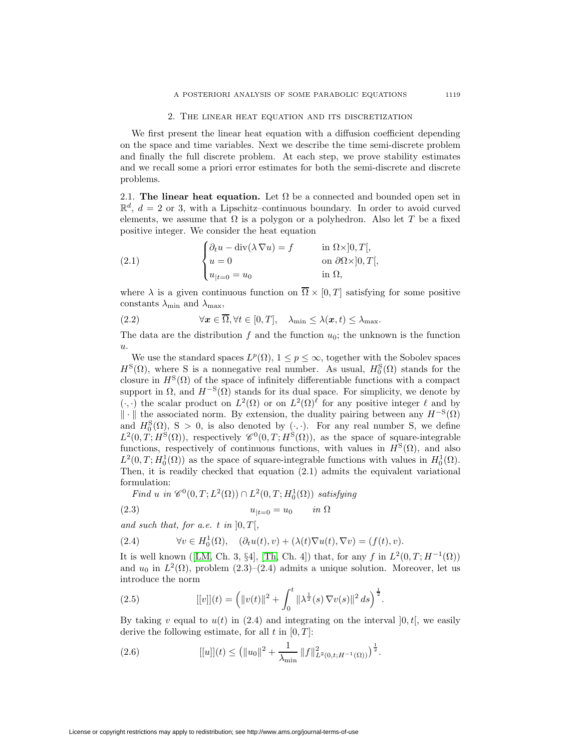#### 2. The linear heat equation and its discretization

We first present the linear heat equation with a diffusion coefficient depending on the space and time variables. Next we describe the time semi-discrete problem and finally the full discrete problem. At each step, we prove stability estimates and we recall some a priori error estimates for both the semi-discrete and discrete problems.

2.1. **The linear heat equation.** Let  $\Omega$  be a connected and bounded open set in  $\mathbb{R}^d$ ,  $d = 2$  or 3, with a Lipschitz–continuous boundary. In order to avoid curved elements, we assume that  $\Omega$  is a polygon or a polyhedron. Also let T be a fixed positive integer. We consider the heat equation

(2.1) 
$$
\begin{cases} \partial_t u - \operatorname{div}(\lambda \nabla u) = f & \text{in } \Omega \times ]0, T[, \\ u = 0 & \text{on } \partial \Omega \times ]0, T[, \\ u_{|t=0} = u_0 & \text{in } \Omega, \end{cases}
$$

where  $\lambda$  is a given continuous function on  $\overline{\Omega} \times [0, T]$  satisfying for some positive constants  $\lambda_{\min}$  and  $\lambda_{\max}$ ,

(2.2) 
$$
\forall \mathbf{x} \in \overline{\Omega}, \forall t \in [0, T], \quad \lambda_{\min} \leq \lambda(\mathbf{x}, t) \leq \lambda_{\max}.
$$

The data are the distribution f and the function  $u_0$ ; the unknown is the function u.

We use the standard spaces  $L^p(\Omega)$ ,  $1 \leq p \leq \infty$ , together with the Sobolev spaces  $H^{S}(\Omega)$ , where S is a nonnegative real number. As usual,  $H_0^{S}(\Omega)$  stands for the closure in  $H^{S}(\Omega)$  of the space of infinitely differentiable functions with a compact support in  $\Omega$ , and  $H^{-S}(\Omega)$  stands for its dual space. For simplicity, we denote by  $(\cdot, \cdot)$  the scalar product on  $L^2(\Omega)$  or on  $L^2(\Omega)$  for any positive integer  $\ell$  and by  $\|\cdot\|$  the associated norm. By extension, the duality pairing between any  $H^{-S}(\Omega)$ and  $H_0^S(\Omega)$ , S > 0, is also denoted by ( $\cdot$ , $\cdot$ ). For any real number S, we define  $L^2(0, T; H^{\rm S}(\Omega))$ , respectively  $\mathscr{C}^0(0, T; H^{\rm S}(\Omega))$ , as the space of square-integrable functions, respectively of continuous functions, with values in  $H^{S}(\Omega)$ , and also  $L^2(0,T;H_0^1(\Omega))$  as the space of square-integrable functions with values in  $H_0^1(\Omega)$ . Then, it is readily checked that equation (2.1) admits the equivalent variational formulation:

*Find u* in  $\mathscr{C}^0(0,T; L^2(\Omega)) \cap L^2(0,T; H_0^1(\Omega))$  *satisfying* 

$$
(2.3) \t\t\t u_{|t=0} = u_0 \t\t in \Omega
$$

and such that, for a.e. t in  $[0, T]$ ,

(2.4) 
$$
\forall v \in H_0^1(\Omega), \quad (\partial_t u(t), v) + (\lambda(t)\nabla u(t), \nabla v) = (f(t), v).
$$

It is well known ([\[LM,](#page-20-16) Ch. 3, §4], [\[Th,](#page-20-15) Ch. 4]) that, for any f in  $L^2(0,T;H^{-1}(\Omega))$ and  $u_0$  in  $L^2(\Omega)$ , problem  $(2.3)$ – $(2.4)$  admits a unique solution. Moreover, let us introduce the norm

(2.5) 
$$
[[v]](t) = (||v(t)||^2 + \int_0^t ||\lambda^{\frac{1}{2}}(s) \nabla v(s)||^2 ds)^{\frac{1}{2}}.
$$

By taking v equal to  $u(t)$  in (2.4) and integrating on the interval  $[0, t]$ , we easily derive the following estimate, for all  $t$  in  $[0, T]$ :

(2.6) 
$$
[[u]](t) \leq (||u_0||^2 + \frac{1}{\lambda_{\min}} ||f||^2_{L^2(0,t;H^{-1}(\Omega))})^{\frac{1}{2}}.
$$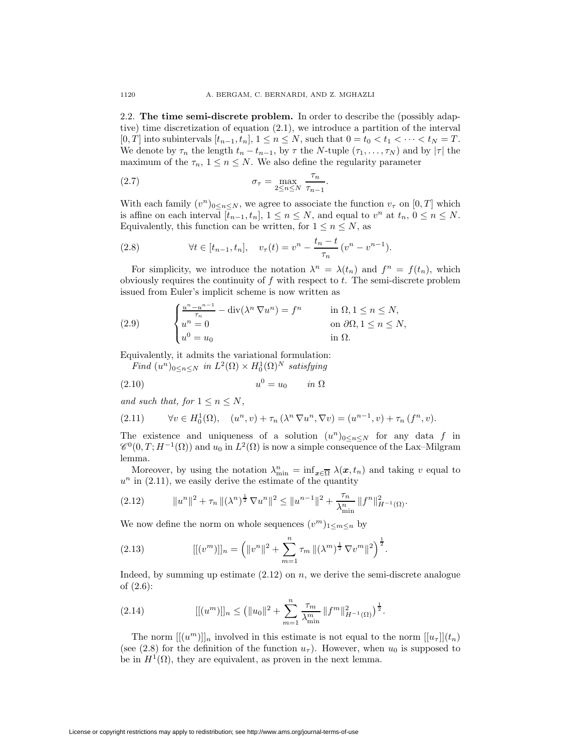2.2. **The time semi-discrete problem.** In order to describe the (possibly adaptive) time discretization of equation (2.1), we introduce a partition of the interval [0, T] into subintervals  $[t_{n-1}, t_n]$ ,  $1 \le n \le N$ , such that  $0 = t_0 < t_1 < \cdots < t_N = T$ . We denote by  $\tau_n$  the length  $t_n - t_{n-1}$ , by  $\tau$  the N-tuple  $(\tau_1, \ldots, \tau_N)$  and by  $|\tau|$  the maximum of the  $\tau_n$ ,  $1 \leq n \leq N$ . We also define the regularity parameter

(2.7) 
$$
\sigma_{\tau} = \max_{2 \leq n \leq N} \frac{\tau_n}{\tau_{n-1}}.
$$

With each family  $(v^n)_{0 \le n \le N}$ , we agree to associate the function  $v_\tau$  on  $[0, T]$  which is affine on each interval  $[\bar{t}_{n-1}, t_n]$ ,  $1 \leq n \leq N$ , and equal to  $v^n$  at  $t_n$ ,  $0 \leq n \leq N$ . Equivalently, this function can be written, for  $1 \leq n \leq N$ , as

(2.8) 
$$
\forall t \in [t_{n-1}, t_n], \quad v_\tau(t) = v^n - \frac{t_n - t}{\tau_n} (v^n - v^{n-1}).
$$

For simplicity, we introduce the notation  $\lambda^n = \lambda(t_n)$  and  $f^n = f(t_n)$ , which obviously requires the continuity of  $f$  with respect to  $t$ . The semi-discrete problem issued from Euler's implicit scheme is now written as

(2.9) 
$$
\begin{cases} \frac{u^n - u^{n-1}}{\tau_n} - \operatorname{div}(\lambda^n \nabla u^n) = f^n & \text{in } \Omega, 1 \le n \le N, \\ u^n = 0 & \text{on } \partial \Omega, 1 \le n \le N, \\ u^0 = u_0 & \text{in } \Omega. \end{cases}
$$

Equivalently, it admits the variational formulation:

*Find*  $(u^n)_{0 \leq n \leq N}$  *in*  $L^2(\Omega) \times H_0^1(\Omega)^N$  *satisfying* 

$$
(2.10) \t\t u0 = u0 \t\t in \t\Omega
$$

*and such that, for*  $1 \leq n \leq N$ ,

(2.11) 
$$
\forall v \in H_0^1(\Omega), \quad (u^n, v) + \tau_n(\lambda^n \nabla u^n, \nabla v) = (u^{n-1}, v) + \tau_n(f^n, v).
$$

The existence and uniqueness of a solution  $(u^n)_{0 \leq n \leq N}$  for any data f in  $\mathscr{C}^0(0,T;H^{-1}(\Omega))$  and  $u_0$  in  $L^2(\Omega)$  is now a simple consequence of the Lax–Milgram lemma.

Moreover, by using the notation  $\lambda_{\min}^n = \inf_{x \in \overline{\Omega}} \lambda(x, t_n)$  and taking v equal to  $u^n$  in (2.11), we easily derive the estimate of the quantity

$$
(2.12) \t\t ||u^n||^2 + \tau_n ||(\lambda^n)^{\frac{1}{2}} \nabla u^n||^2 \le ||u^{n-1}||^2 + \frac{\tau_n}{\lambda_{\min}^n} ||f^n||^2_{H^{-1}(\Omega)}.
$$

We now define the norm on whole sequences  $(v^m)_{1 \leq m \leq n}$  by

(2.13) 
$$
[[ (vm )]]n = (||vn||2 + \sum_{m=1}^{n} \tau_m ||(\lambdam)\frac{1}{2} \nabla vm||2)\frac{1}{2}.
$$

Indeed, by summing up estimate  $(2.12)$  on n, we derive the semi-discrete analogue of (2.6):

(2.14) 
$$
[[(u^m)]]_n \leq (||u_0||^2 + \sum_{m=1}^n \frac{\tau_m}{\lambda_{\min}^m} ||f^m||_{H^{-1}(\Omega)}^2)^{\frac{1}{2}}.
$$

The norm  $[[(u^m)]]_n$  involved in this estimate is not equal to the norm  $[[u_\tau]](t_n)$ (see (2.8) for the definition of the function  $u_{\tau}$ ). However, when  $u_0$  is supposed to be in  $H^1(\Omega)$ , they are equivalent, as proven in the next lemma.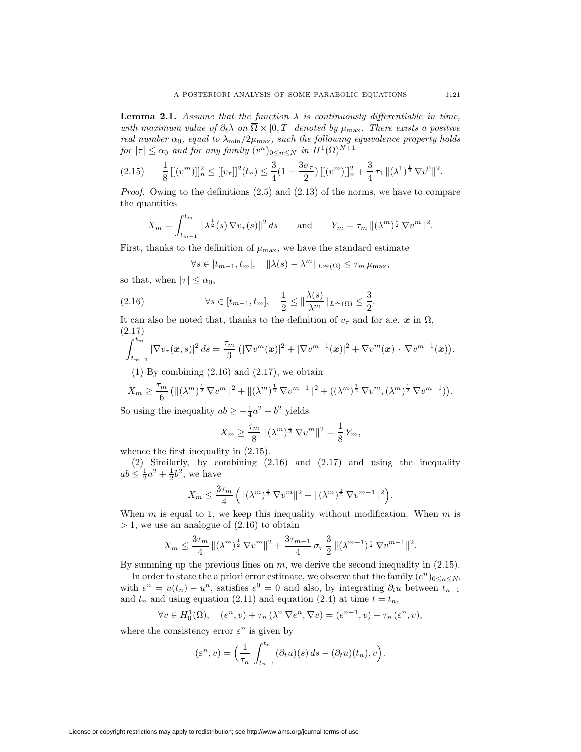**Lemma 2.1.** *Assume that the function*  $\lambda$  *is continuously differentiable in time, with maximum value of*  $\partial_t \lambda$  *on*  $\overline{\Omega} \times [0, T]$  *denoted by*  $\mu_{\text{max}}$ *. There exists a positive real number*  $\alpha_0$ *, equal to*  $\lambda_{\min}/2\mu_{\max}$ *, such the following equivalence property holds for*  $|\tau| \le \alpha_0$  *and for any family*  $(v^n)_{0 \le n \le N}$  *in*  $H^1(\Omega)^{N+1}$ 

$$
(2.15) \qquad \frac{1}{8} \left[ [(v^m)] \right]_n^2 \leq [[v_\tau]]^2(t_n) \leq \frac{3}{4} (1 + \frac{3\sigma_\tau}{2}) \left[ [(v^m)] \right]_n^2 + \frac{3}{4} \tau_1 \, \| (\lambda^1)^{\frac{1}{2}} \, \nabla v^0 \|^2.
$$

*Proof.* Owing to the definitions (2.5) and (2.13) of the norms, we have to compare the quantities

$$
X_m = \int_{t_{m-1}}^{t_m} ||\lambda^{\frac{1}{2}}(s) \nabla v_{\tau}(s)||^2 ds \quad \text{and} \quad Y_m = \tau_m ||(\lambda^m)^{\frac{1}{2}} \nabla v^m||^2.
$$

First, thanks to the definition of  $\mu_{\text{max}}$ , we have the standard estimate

$$
\forall s \in [t_{m-1}, t_m], \quad \|\lambda(s) - \lambda^m\|_{L^\infty(\Omega)} \le \tau_m \,\mu_{\max},
$$

so that, when  $|\tau| \leq \alpha_0$ ,

(2.16) 
$$
\forall s \in [t_{m-1}, t_m], \quad \frac{1}{2} \leq \|\frac{\lambda(s)}{\lambda^m}\|_{L^{\infty}(\Omega)} \leq \frac{3}{2}.
$$

It can also be noted that, thanks to the definition of  $v<sub>\tau</sub>$  and for a.e. *x* in  $\Omega$ , (2.17)

$$
\int_{t_{m-1}}^{t_m} |\nabla v_{\tau}(\bm{x},s)|^2 ds = \frac{\tau_m}{3} (|\nabla v^m(\bm{x})|^2 + |\nabla v^{m-1}(\bm{x})|^2 + \nabla v^m(\bm{x}) \cdot \nabla v^{m-1}(\bm{x}) ).
$$

 $(1)$  By combining  $(2.16)$  and  $(2.17)$ , we obtain

$$
X_m \ge \frac{\tau_m}{6} \left( \| (\lambda^m)^{\frac{1}{2}} \nabla v^m \|^2 + \| (\lambda^m)^{\frac{1}{2}} \nabla v^{m-1} \|^2 + \left( (\lambda^m)^{\frac{1}{2}} \nabla v^m, (\lambda^m)^{\frac{1}{2}} \nabla v^{m-1} \right) \right).
$$

So using the inequality  $ab \ge -\frac{1}{4}a^2 - b^2$  yields

$$
X_m \ge \frac{\tau_m}{8} ||(\lambda^m)^{\frac{1}{2}} \nabla v^m||^2 = \frac{1}{8} Y_m,
$$

whence the first inequality in  $(2.15)$ .

(2) Similarly, by combining (2.16) and (2.17) and using the inequality  $ab \leq \frac{1}{2}a^2 + \frac{1}{2}b^2$ , we have

$$
X_m \le \frac{3\tau_m}{4} \left( \| (\lambda^m)^{\frac{1}{2}} \nabla v^m \|^2 + \| (\lambda^m)^{\frac{1}{2}} \nabla v^{m-1} \|^2 \right).
$$

When  $m$  is equal to 1, we keep this inequality without modification. When  $m$  is  $> 1$ , we use an analogue of  $(2.16)$  to obtain

$$
X_m \leq \frac{3\tau_m}{4} ||(\lambda^m)^{\frac{1}{2}} \nabla v^m||^2 + \frac{3\tau_{m-1}}{4} \sigma_\tau \frac{3}{2} ||(\lambda^{m-1})^{\frac{1}{2}} \nabla v^{m-1}||^2.
$$

By summing up the previous lines on  $m$ , we derive the second inequality in  $(2.15)$ .

In order to state the a priori error estimate, we observe that the family  $(e^n)_{0 \leq n \leq N}$ , with  $e^n = u(t_n) - u^n$ , satisfies  $e^0 = 0$  and also, by integrating  $\partial_t u$  between  $t_{n-1}$ and  $t_n$  and using equation (2.11) and equation (2.4) at time  $t = t_n$ ,

$$
\forall v \in H_0^1(\Omega), \quad (e^n, v) + \tau_n(\lambda^n \nabla e^n, \nabla v) = (e^{n-1}, v) + \tau_n(\varepsilon^n, v),
$$

where the consistency error  $\varepsilon^n$  is given by

$$
(\varepsilon^n, v) = \Big(\frac{1}{\tau_n} \int_{t_{n-1}}^{t_n} (\partial_t u)(s) ds - (\partial_t u)(t_n), v\Big).
$$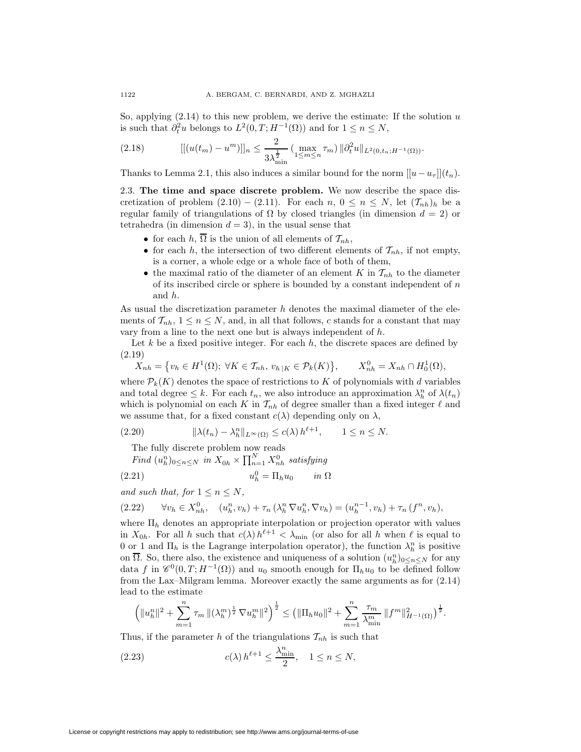So, applying  $(2.14)$  to this new problem, we derive the estimate: If the solution u is such that  $\partial_t^2 u$  belongs to  $L^2(0,T;H^{-1}(\Omega))$  and for  $1 \leq n \leq N$ ,

$$
(2.18) \qquad [[(u(t_m) - u^m)]]_n \leq \frac{2}{3\lambda_{\min}^{\frac{1}{2}}} \left( \max_{1 \leq m \leq n} \tau_m \right) ||\partial_t^2 u||_{L^2(0, t_n; H^{-1}(\Omega))}.
$$

Thanks to Lemma 2.1, this also induces a similar bound for the norm  $[|u-u<sub>τ</sub>]|(t<sub>n</sub>)$ .

2.3. **The time and space discrete problem.** We now describe the space discretization of problem  $(2.10) - (2.11)$ . For each  $n, 0 \leq n \leq N$ , let  $(\mathcal{T}_{nh})_h$  be a regular family of triangulations of  $\Omega$  by closed triangles (in dimension  $d = 2$ ) or tetrahedra (in dimension  $d = 3$ ), in the usual sense that

- for each h,  $\overline{\Omega}$  is the union of all elements of  $\mathcal{T}_{nh}$ ,
- for each h, the intersection of two different elements of  $\mathcal{T}_{nh}$ , if not empty, is a corner, a whole edge or a whole face of both of them,
- the maximal ratio of the diameter of an element K in  $\mathcal{T}_{nh}$  to the diameter of its inscribed circle or sphere is bounded by a constant independent of  $n$ and h.

As usual the discretization parameter  $h$  denotes the maximal diameter of the elements of  $\mathcal{T}_{nh}$ ,  $1 \leq n \leq N$ , and, in all that follows, c stands for a constant that may vary from a line to the next one but is always independent of h.

Let  $k$  be a fixed positive integer. For each  $h$ , the discrete spaces are defined by (2.19)

$$
X_{nh} = \{v_h \in H^1(\Omega); \ \forall K \in \mathcal{T}_{nh}, \ v_{h|K} \in \mathcal{P}_k(K)\}, \qquad X_{nh}^0 = X_{nh} \cap H_0^1(\Omega),
$$

where  $\mathcal{P}_k(K)$  denotes the space of restrictions to K of polynomials with d variables and total degree  $\leq k$ . For each  $t_n$ , we also introduce an approximation  $\lambda_h^n$  of  $\lambda(t_n)$ which is polynomial on each K in  $\mathcal{T}_{nh}$  of degree smaller than a fixed integer  $\ell$  and we assume that, for a fixed constant  $c(\lambda)$  depending only on  $\lambda$ ,

$$
(2.20) \t\t\t  $\|\lambda(t_n) - \lambda_h^n\|_{L^\infty(\Omega)} \le c(\lambda) h^{\ell+1}, \quad 1 \le n \le N.$
$$

The fully discrete problem now reads

Find 
$$
(u_h^n)_{0 \le n \le N}
$$
 in  $X_{0h} \times \prod_{n=1}^N X_{nh}^0$  satisfying  
(2.21)  $u_h^0 = \Pi_h u_0$  in  $\Omega$ 

*and such that, for*  $1 \leq n \leq N$ ,

$$
(2.22) \qquad \forall v_h \in X_{nh}^0, \quad (u_h^n, v_h) + \tau_n (\lambda_h^n \nabla u_h^n, \nabla v_h) = (u_h^{n-1}, v_h) + \tau_n (f^n, v_h),
$$

where  $\Pi_h$  denotes an appropriate interpolation or projection operator with values in  $X_{0h}$ . For all h such that  $c(\lambda) h^{\ell+1} < \lambda_{\min}$  (or also for all h when  $\ell$  is equal to 0 or 1 and  $\Pi_h$  is the Lagrange interpolation operator), the function  $\lambda_h^n$  is positive on  $\overline{\Omega}$ . So, there also, the existence and uniqueness of a solution  $(u_h^n)_{0 \le n \le N}$  for any data f in  $\mathscr{C}^0(0,T;H^{-1}(\Omega))$  and  $u_0$  smooth enough for  $\Pi_h u_0$  to be defined follow from the Lax–Milgram lemma. Moreover exactly the same arguments as for (2.14) lead to the estimate

$$
\left(\|u_{h}^{n}\|^{2}+\sum_{m=1}^{n}\tau_{m}\left\|(\lambda_{h}^{m})^{\frac{1}{2}}\nabla u_{h}^{m}\right\|^{2}\right)^{\frac{1}{2}}\leq\left(\|\Pi_{h}u_{0}\|^{2}+\sum_{m=1}^{n}\frac{\tau_{m}}{\lambda_{\min}^{m}}\|f^{m}\|_{H^{-1}(\Omega)}^{2}\right)^{\frac{1}{2}}.
$$

Thus, if the parameter h of the triangulations  $\mathcal{T}_{nh}$  is such that

(2.23) 
$$
c(\lambda) h^{\ell+1} \le \frac{\lambda_{\min}^n}{2}, \quad 1 \le n \le N,
$$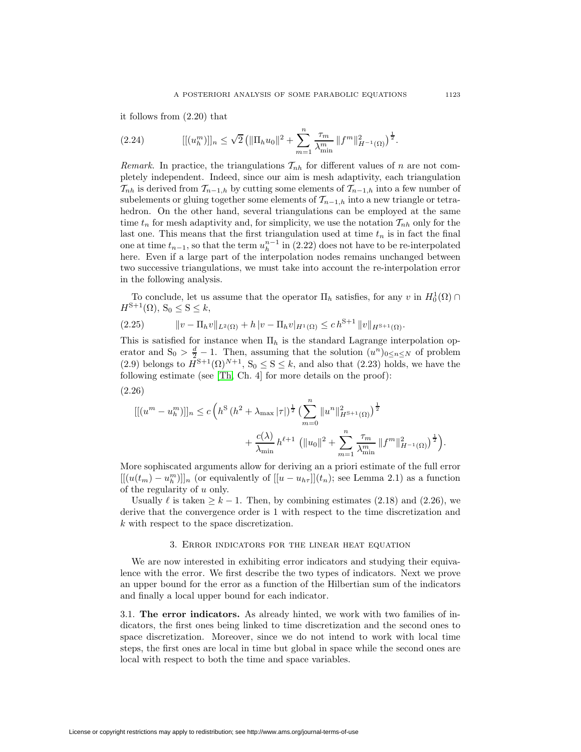it follows from (2.20) that

(2.24) 
$$
[[ (u_h^m)]]_n \leq \sqrt{2} \left( \|\Pi_h u_0\|^2 + \sum_{m=1}^n \frac{\tau_m}{\lambda_{\min}^m} \|f^m\|_{H^{-1}(\Omega)}^2 \right)^{\frac{1}{2}}.
$$

*Remark.* In practice, the triangulations  $\mathcal{T}_{nh}$  for different values of n are not completely independent. Indeed, since our aim is mesh adaptivity, each triangulation  $\mathcal{T}_{nh}$  is derived from  $\mathcal{T}_{n-1,h}$  by cutting some elements of  $\mathcal{T}_{n-1,h}$  into a few number of subelements or gluing together some elements of  $\mathcal{T}_{n-1,h}$  into a new triangle or tetrahedron. On the other hand, several triangulations can be employed at the same time  $t_n$  for mesh adaptivity and, for simplicity, we use the notation  $\mathcal{T}_{nh}$  only for the last one. This means that the first triangulation used at time  $t_n$  is in fact the final one at time  $t_{n-1}$ , so that the term  $u_h^{n-1}$  in (2.22) does not have to be re-interpolated here. Even if a large part of the interpolation nodes remains unchanged between two successive triangulations, we must take into account the re-interpolation error in the following analysis.

To conclude, let us assume that the operator  $\Pi_h$  satisfies, for any v in  $H_0^1(\Omega) \cap$  $H^{S+1}(\Omega)$ ,  $S_0 \leq S \leq k$ ,

$$
(2.25) \t\t ||v - \Pi_h v||_{L^2(\Omega)} + h |v - \Pi_h v|_{H^1(\Omega)} \leq c h^{S+1} ||v||_{H^{S+1}(\Omega)}.
$$

This is satisfied for instance when  $\Pi_h$  is the standard Lagrange interpolation operator and  $S_0 > \frac{d}{2} - 1$ . Then, assuming that the solution  $(u^n)_{0 \leq n \leq N}$  of problem (2.9) belongs to  $H^{S+1}(\Omega)^{N+1}$ ,  $S_0 \le S \le k$ , and also that (2.23) holds, we have the following estimate (see [\[Th,](#page-20-15) Ch. 4] for more details on the proof):

$$
(2.26)
$$

$$
\begin{split} [[(u^m - u_h^m)]]_n &\le c \left( h^S \left( h^2 + \lambda_{\max} |\tau| \right)^{\frac{1}{2}} \left( \sum_{m=0}^n \|u^n\|_{H^{S+1}(\Omega)}^2 \right)^{\frac{1}{2}} \\ &+ \frac{c(\lambda)}{\lambda_{\min}} h^{\ell+1} \left( \|u_0\|^2 + \sum_{m=1}^n \frac{\tau_m}{\lambda_{\min}^m} \|f^m\|_{H^{-1}(\Omega)}^2 \right)^{\frac{1}{2}} \right). \end{split}
$$

More sophiscated arguments allow for deriving an a priori estimate of the full error  $[[(u(t_m)-u_h^m)]]_n$  (or equivalently of  $[[u-u_{h\tau}]](t_n)$ ; see Lemma 2.1) as a function of the regularity of u only.

Usually  $\ell$  is taken  $\geq k-1$ . Then, by combining estimates (2.18) and (2.26), we derive that the convergence order is 1 with respect to the time discretization and k with respect to the space discretization.

#### 3. Error indicators for the linear heat equation

We are now interested in exhibiting error indicators and studying their equivalence with the error. We first describe the two types of indicators. Next we prove an upper bound for the error as a function of the Hilbertian sum of the indicators and finally a local upper bound for each indicator.

3.1. **The error indicators.** As already hinted, we work with two families of indicators, the first ones being linked to time discretization and the second ones to space discretization. Moreover, since we do not intend to work with local time steps, the first ones are local in time but global in space while the second ones are local with respect to both the time and space variables.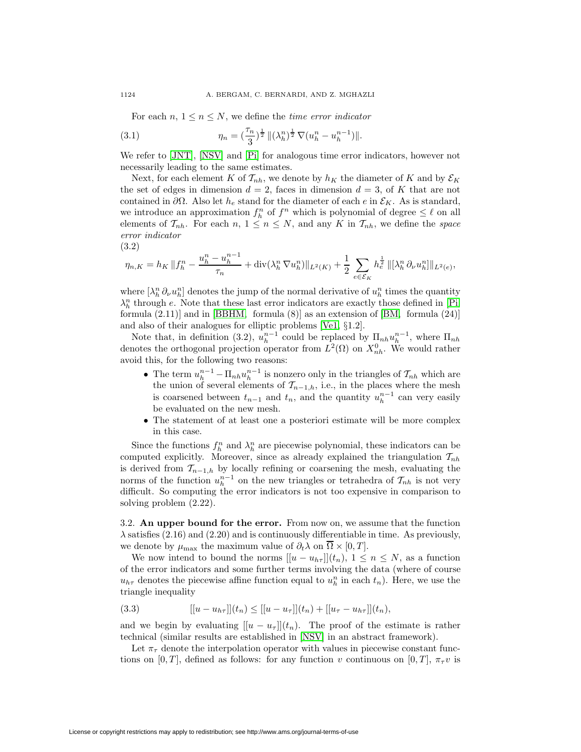For each  $n, 1 \leq n \leq N$ , we define the *time error indicator* 

(3.1) 
$$
\eta_n = \left(\frac{\tau_n}{3}\right)^{\frac{1}{2}} \|(\lambda_h^n)^{\frac{1}{2}} \nabla (u_h^n - u_h^{n-1})\|.
$$

We refer to [\[JNT\]](#page-20-1), [\[NSV\]](#page-20-2) and [\[Pi\]](#page-20-11) for analogous time error indicators, however not necessarily leading to the same estimates.

Next, for each element K of  $\mathcal{T}_{nh}$ , we denote by  $h_K$  the diameter of K and by  $\mathcal{E}_K$ the set of edges in dimension  $d = 2$ , faces in dimension  $d = 3$ , of K that are not contained in  $\partial\Omega$ . Also let  $h_e$  stand for the diameter of each e in  $\mathcal{E}_K$ . As is standard, we introduce an approximation  $f_h^n$  of  $f^n$  which is polynomial of degree  $\leq \ell$  on all elements of  $\mathcal{T}_{nh}$ . For each  $n, 1 \leq n \leq N$ , and any K in  $\mathcal{T}_{nh}$ , we define the *space error indicator*

(3.2)

$$
\eta_{n,K} = h_K \|f_h^n - \frac{u_h^n - u_h^{n-1}}{\tau_n} + \text{div}(\lambda_h^n \nabla u_h^n) \|_{L^2(K)} + \frac{1}{2} \sum_{e \in \mathcal{E}_K} h_e^{\frac{1}{2}} \|[\lambda_h^n \partial_\nu u_h^n] \|_{L^2(e)},
$$

where  $\left[\lambda_{h}^{n} \partial_{\nu} u_{h}^{n}\right]$  denotes the jump of the normal derivative of  $u_{h}^{n}$  times the quantity  $\lambda_h^n$  through e. Note that these last error indicators are exactly those defined in [\[Pi,](#page-20-11) formula  $(2.11)$  and in [\[BBHM,](#page-20-5) formula  $(8)$ ] as an extension of [\[BM,](#page-20-6) formula  $(24)$ ] and also of their analogues for elliptic problems [\[Ve1,](#page-20-0) §1.2].

Note that, in definition (3.2),  $u_h^{n-1}$  could be replaced by  $\Pi_{nh}u_h^{n-1}$ , where  $\Pi_{nh}$ denotes the orthogonal projection operator from  $L^2(\Omega)$  on  $X_{nh}^0$ . We would rather avoid this, for the following two reasons:

- The term  $u_h^{n-1} \prod_{n} u_h^{n-1}$  is nonzero only in the triangles of  $\mathcal{T}_{nh}$  which are the union of several elements of  $\mathcal{T}_{n-1,h}$ , i.e., in the places where the mesh is coarsened between  $t_{n-1}$  and  $t_n$ , and the quantity  $u_h^{n-1}$  can very easily be evaluated on the new mesh.
- The statement of at least one a posteriori estimate will be more complex in this case.

Since the functions  $f_h^n$  and  $\lambda_h^n$  are piecewise polynomial, these indicators can be computed explicitly. Moreover, since as already explained the triangulation  $\mathcal{T}_{nh}$ is derived from  $\mathcal{T}_{n-1,h}$  by locally refining or coarsening the mesh, evaluating the norms of the function  $u_h^{n-1}$  on the new triangles or tetrahedra of  $\mathcal{T}_{nh}$  is not very difficult. So computing the error indicators is not too expensive in comparison to solving problem (2.22).

3.2. **An upper bound for the error.** From now on, we assume that the function  $\lambda$  satisfies (2.16) and (2.20) and is continuously differentiable in time. As previously, we denote by  $\mu_{\text{max}}$  the maximum value of  $\partial_t \lambda$  on  $\overline{\Omega} \times [0, T]$ .

We now intend to bound the norms  $[[u - u_{h\tau}]](t_n)$ ,  $1 \leq n \leq N$ , as a function of the error indicators and some further terms involving the data (where of course  $u_{h\tau}$  denotes the piecewise affine function equal to  $u_h^n$  in each  $t_n$ ). Here, we use the triangle inequality

(3.3) 
$$
[[u - u_{h\tau}]](t_n) \leq [[u - u_{\tau}]](t_n) + [[u_{\tau} - u_{h\tau}]](t_n),
$$

and we begin by evaluating  $[[u - u<sub>\tau</sub>]](t_n)$ . The proof of the estimate is rather technical (similar results are established in [\[NSV\]](#page-20-2) in an abstract framework).

Let  $\pi_{\tau}$  denote the interpolation operator with values in piecewise constant functions on [0, T], defined as follows: for any function v continuous on [0, T],  $\pi_{\tau}v$  is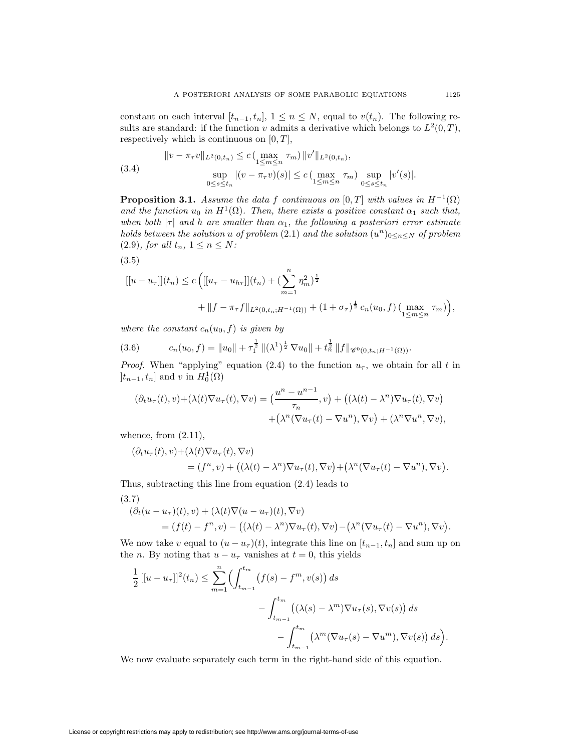constant on each interval  $[t_{n-1}, t_n]$ ,  $1 \leq n \leq N$ , equal to  $v(t_n)$ . The following results are standard: if the function v admits a derivative which belongs to  $L^2(0,T)$ , respectively which is continuous on  $[0, T]$ ,

(3.4) 
$$
||v - \pi_{\tau}v||_{L^{2}(0,t_{n})} \leq c \left(\max_{1 \leq m \leq n} \tau_{m}\right) ||v'||_{L^{2}(0,t_{n})},
$$

$$
\sup_{0 \leq s \leq t_{n}} |(v - \pi_{\tau}v)(s)| \leq c \left(\max_{1 \leq m \leq n} \tau_{m}\right) \sup_{0 \leq s \leq t_{n}} |v'(s)|.
$$

**Proposition 3.1.** *Assume the data* f *continuous on* [0, T] *with values in*  $H^{-1}(\Omega)$ *and the function*  $u_0$  *in*  $H^1(\Omega)$ *. Then, there exists a positive constant*  $\alpha_1$  *such that, when both*  $|\tau|$  *and h are smaller than*  $\alpha_1$ *, the following a posteriori error estimate holds between the solution* u *of problem* (2.1) *and the solution*  $(u^n)_{0 \leq n \leq N}$  *of problem* (2.9)*, for all*  $t_n$ ,  $1 \le n \le N$ *:* 

$$
(3.5)
$$

$$
[[u - u_{\tau}]](t_n) \le c \left( [[u_{\tau} - u_{h\tau}]](t_n) + (\sum_{m=1}^n \eta_m^2)^{\frac{1}{2}} + ||f - \pi_{\tau}f||_{L^2(0,t_n;H^{-1}(\Omega))} + (1 + \sigma_{\tau})^{\frac{1}{2}} c_n(u_0, f) (\max_{1 \le m \le n} \tau_m) \right),
$$

*where the constant*  $c_n(u_0, f)$  *is given by* 

$$
(3.6) \t\t c_n(u_0, f) = \|u_0\| + \tau_1^{\frac{1}{2}} \|( \lambda^1)^{\frac{1}{2}} \nabla u_0 \| + t_n^{\frac{1}{2}} \|f\|_{\mathscr{C}^0(0,t_n;H^{-1}(\Omega))}.
$$

*Proof.* When "applying" equation (2.4) to the function  $u_{\tau}$ , we obtain for all t in  $]t_{n-1}, t_n]$  and v in  $H_0^1(\Omega)$ 

$$
(\partial_t u_\tau(t), v) + (\lambda(t)\nabla u_\tau(t), \nabla v) = \left(\frac{u^n - u^{n-1}}{\tau_n}, v\right) + \left((\lambda(t) - \lambda^n)\nabla u_\tau(t), \nabla v\right) + \left(\lambda^n(\nabla u_\tau(t) - \nabla u^n), \nabla v\right) + (\lambda^n \nabla u^n, \nabla v),
$$

whence, from  $(2.11)$ ,

$$
(\partial_t u_\tau(t), v) + (\lambda(t)\nabla u_\tau(t), \nabla v)
$$
  
=  $(f^n, v) + ((\lambda(t) - \lambda^n)\nabla u_\tau(t), \nabla v) + (\lambda^n(\nabla u_\tau(t) - \nabla u^n), \nabla v).$ 

Thus, subtracting this line from equation (2.4) leads to

(3.7)

$$
(\partial_t (u - u_\tau)(t), v) + (\lambda(t)\nabla(u - u_\tau)(t), \nabla v)
$$
  
=  $(f(t) - f^n, v) - ((\lambda(t) - \lambda^n)\nabla u_\tau(t), \nabla v) - (\lambda^n(\nabla u_\tau(t) - \nabla u^n), \nabla v).$ 

We now take v equal to  $(u - u<sub>\tau</sub>)(t)$ , integrate this line on  $[t_{n-1}, t_n]$  and sum up on the *n*. By noting that  $u - u_\tau$  vanishes at  $t = 0$ , this yields

$$
\frac{1}{2}[[u - u_{\tau}]]^{2}(t_{n}) \leq \sum_{m=1}^{n} \Biggl( \int_{t_{m-1}}^{t_{m}} \bigl( f(s) - f^{m}, v(s) \bigr) ds - \int_{t_{m-1}}^{t_{m}} \bigl( (\lambda(s) - \lambda^{m}) \nabla u_{\tau}(s), \nabla v(s) \bigr) ds - \int_{t_{m-1}}^{t_{m}} \bigl( \lambda^{m} (\nabla u_{\tau}(s) - \nabla u^{m}), \nabla v(s) \bigr) ds \Biggr).
$$

We now evaluate separately each term in the right-hand side of this equation.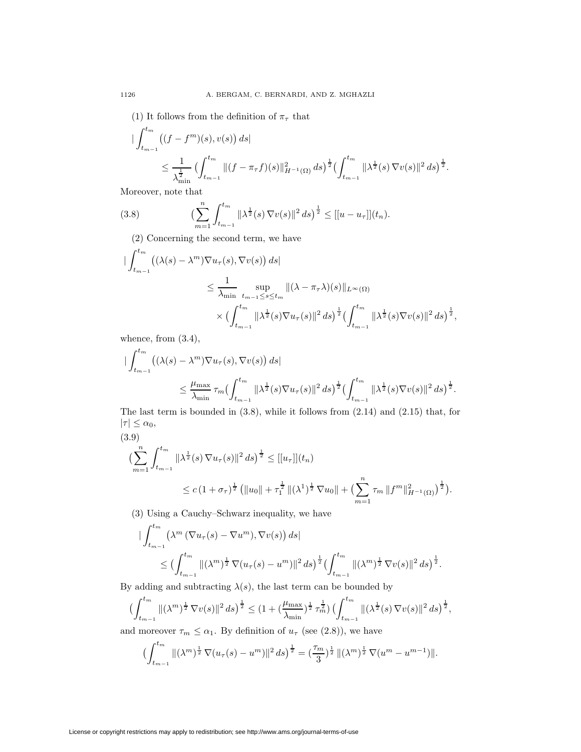(1) It follows from the definition of  $\pi_{\tau}$  that

$$
\begin{split} & \|\int_{t_{m-1}}^{t_m} \left( (f - f^m)(s), v(s) \right) ds \|\leq \frac{1}{\lambda_{\min}^{\frac{1}{2}}} \left( \int_{t_{m-1}}^{t_m} \|(f - \pi_{\tau}f)(s)\|_{H^{-1}(\Omega)}^2 ds \right)^{\frac{1}{2}} \left( \int_{t_{m-1}}^{t_m} \|\lambda^{\frac{1}{2}}(s) \nabla v(s)\|^2 ds \right)^{\frac{1}{2}} .\end{split}
$$

Moreover, note that

(3.8) 
$$
\left(\sum_{m=1}^n \int_{t_{m-1}}^{t_m} \|\lambda^{\frac{1}{2}}(s) \nabla v(s)\|^2 ds\right)^{\frac{1}{2}} \leq [[u - u_\tau]](t_n).
$$

(2) Concerning the second term, we have

$$
\begin{split} \|\int_{t_{m-1}}^{t_m} \left( (\lambda(s) - \lambda^m) \nabla u_\tau(s), \nabla v(s) \right) ds | \\ &\leq \frac{1}{\lambda_{\min}} \sup_{t_{m-1} \leq s \leq t_m} \| (\lambda - \pi_\tau \lambda)(s) \|_{L^\infty(\Omega)} \\ &\times \left( \int_{t_{m-1}}^{t_m} \| \lambda^{\frac{1}{2}}(s) \nabla u_\tau(s) \|^2 ds \right)^{\frac{1}{2}} \left( \int_{t_{m-1}}^{t_m} \| \lambda^{\frac{1}{2}}(s) \nabla v(s) \|^2 ds \right)^{\frac{1}{2}}, \end{split}
$$

whence, from  $(3.4)$ ,

$$
\begin{split} \big| \int_{t_{m-1}}^{t_m} \big( (\lambda(s) - \lambda^m) \nabla u_\tau(s), \nabla v(s) \big) ds \big| \\ &\leq \frac{\mu_{\max}}{\lambda_{\min}} \, \tau_m \big( \int_{t_{m-1}}^{t_m} \| \lambda^{\frac{1}{2}}(s) \nabla u_\tau(s) \|^2 \, ds \big)^{\frac{1}{2}} \big( \int_{t_{m-1}}^{t_m} \| \lambda^{\frac{1}{2}}(s) \nabla v(s) \|^2 \, ds \big)^{\frac{1}{2}} . \end{split}
$$

The last term is bounded in (3.8), while it follows from (2.14) and (2.15) that, for  $|\tau| \leq \alpha_0$ ,

$$
(3.9)
$$
  

$$
\left(\sum_{m=1}^{n} \int_{t_{m-1}}^{t_m} \|\lambda^{\frac{1}{2}}(s) \nabla u_{\tau}(s)\|^2 ds\right)^{\frac{1}{2}} \leq [[u_{\tau}]](t_n)
$$
  

$$
\leq c \left(1 + \sigma_{\tau}\right)^{\frac{1}{2}} \left(\|u_0\| + \tau_1^{\frac{1}{2}} \|\lambda^{\frac{1}{2}}\right)^{\frac{1}{2}} \nabla u_0\| + \left(\sum_{m=1}^{n} \tau_m \|f^m\|_{H^{-1}(\Omega)}^2\right)^{\frac{1}{2}}.
$$

(3) Using a Cauchy–Schwarz inequality, we have

$$
\begin{split} & \left| \int_{t_{m-1}}^{t_m} \left( \lambda^m \left( \nabla u_\tau(s) - \nabla u^m \right), \nabla v(s) \right) ds \right| \\ &\leq \left( \int_{t_{m-1}}^{t_m} \| (\lambda^m)^{\frac{1}{2}} \nabla (u_\tau(s) - u^m) \|^2 \, ds \right)^{\frac{1}{2}} \left( \int_{t_{m-1}}^{t_m} \| (\lambda^m)^{\frac{1}{2}} \nabla v(s) \|^2 \, ds \right)^{\frac{1}{2}} . \end{split}
$$

By adding and subtracting  $\lambda(s)$ , the last term can be bounded by

$$
\left(\int_{t_{m-1}}^{t_m} \|(\lambda^m)^{\frac{1}{2}} \nabla v(s)\|^2 ds\right)^{\frac{1}{2}} \leq \left(1 + \left(\frac{\mu_{\max}}{\lambda_{\min}}\right)^{\frac{1}{2}} \tau_m^{\frac{1}{2}}\right) \left(\int_{t_{m-1}}^{t_m} \|(\lambda^{\frac{1}{2}}(s) \nabla v(s)\|^2 ds\right)^{\frac{1}{2}},
$$

and moreover  $\tau_m \leq \alpha_1$ . By definition of  $u_\tau$  (see (2.8)), we have

$$
\left(\int_{t_{m-1}}^{t_m} \|(\lambda^m)^{\frac{1}{2}} \nabla (u_\tau(s) - u^m)\|^2 ds\right)^{\frac{1}{2}} = \left(\frac{\tau_m}{3}\right)^{\frac{1}{2}} \left\|(\lambda^m)^{\frac{1}{2}} \nabla (u^m - u^{m-1})\right\|.
$$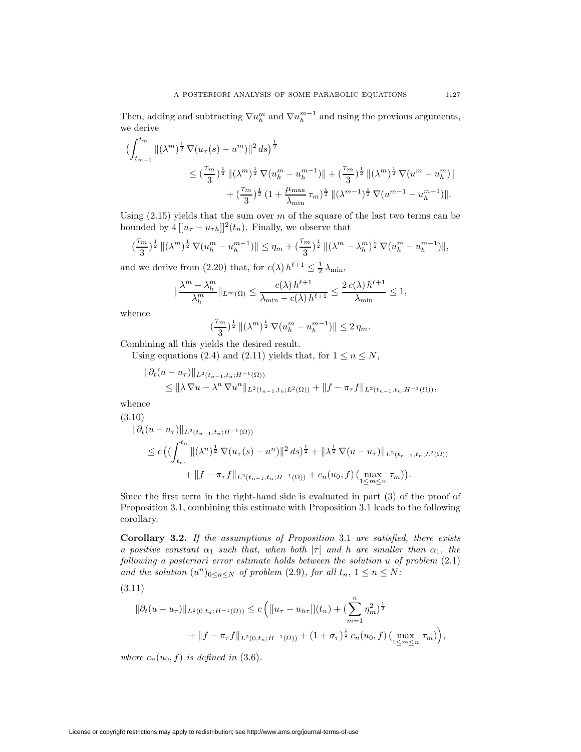Then, adding and subtracting  $\nabla u_h^m$  and  $\nabla u_h^{m-1}$  and using the previous arguments, we derive

$$
\begin{split} \big(\int_{t_{m-1}}^{t_m} \|(\lambda^m)^{\frac{1}{2}} \, \nabla (u_\tau(s) - u^m)\|^2 \, ds\big)^{\frac{1}{2}} \\ &\leq (\frac{\tau_m}{3})^{\frac{1}{2}} \, \|(\lambda^m)^{\frac{1}{2}} \, \nabla (u^m_n - u^{m-1}_n)\| + (\frac{\tau_m}{3})^{\frac{1}{2}} \, \|(\lambda^m)^{\frac{1}{2}} \, \nabla (u^m - u^m_n)\| \\ &\quad + (\frac{\tau_m}{3})^{\frac{1}{2}} \, (1 + \frac{\mu_{\text{max}}}{\lambda_{\text{min}}} \, \tau_m)^{\frac{1}{2}} \, \|(\lambda^{m-1})^{\frac{1}{2}} \, \nabla (u^{m-1} - u^{m-1}_h)\|. \end{split}
$$

Using  $(2.15)$  yields that the sum over m of the square of the last two terms can be bounded by  $4[[u_\tau - u_{\tau h}]]^2(t_n)$ . Finally, we observe that

$$
(\frac{\tau_m}{3})^{\frac{1}{2}}\, \|(\lambda^m)^{\frac{1}{2}}\, \nabla (u_h^m - u_h^{m-1})\| \leq \eta_m + (\frac{\tau_m}{3})^{\frac{1}{2}}\, \|(\lambda^m - \lambda_h^m)^{\frac{1}{2}}\, \nabla (u_h^m - u_h^{m-1})\|,
$$

and we derive from (2.20) that, for  $c(\lambda) h^{\ell+1} \leq \frac{1}{2} \lambda_{\min}$ ,

$$
\|\frac{\lambda^m-\lambda_h^m}{\lambda_h^m}\|_{L^\infty(\Omega)}\leq \frac{c(\lambda)\,h^{\ell+1}}{\lambda_{\min}-c(\lambda)\,h^{\ell+1}}\leq \frac{2\,c(\lambda)\,h^{\ell+1}}{\lambda_{\min}}\leq 1,
$$

whence

$$
\left(\frac{\tau_m}{3}\right)^{\frac{1}{2}} \|(\lambda^m)^{\frac{1}{2}} \nabla (u_h^m - u_h^{m-1})\| \leq 2 \eta_m.
$$

Combining all this yields the desired result.

Using equations (2.4) and (2.11) yields that, for  $1 \le n \le N$ ,

$$
\|\partial_t(u - u_\tau)\|_{L^2(t_{n-1}, t_n; H^{-1}(\Omega))} \le \|\lambda \nabla u - \lambda^n \nabla u^n\|_{L^2(t_{n-1}, t_n; L^2(\Omega))} + \|f - \pi_\tau f\|_{L^2(t_{n-1}, t_n; H^{-1}(\Omega))},
$$

whence

(3.10)

$$
\|\partial_t(u - u_\tau)\|_{L^2(t_{n-1}, t_n; H^{-1}(\Omega))}
$$
  
\n
$$
\leq c \left( \left( \int_{t_{n_1}}^{t_n} \| (\lambda^n)^{\frac{1}{2}} \nabla (u_\tau(s) - u^n) \|^2 ds \right)^{\frac{1}{2}} + \| \lambda^{\frac{1}{2}} \nabla (u - u_\tau) \|_{L^2(t_{n-1}, t_n; L^2(\Omega))}
$$
  
\n
$$
+ \|f - \pi_\tau f\|_{L^2(t_{n-1}, t_n; H^{-1}(\Omega))} + c_n(u_0, f) \left( \max_{1 \leq m \leq n} \tau_m \right) \right).
$$

Since the first term in the right-hand side is evaluated in part (3) of the proof of Proposition 3.1, combining this estimate with Proposition 3.1 leads to the following corollary.

**Corollary 3.2.** *If the assumptions of Proposition* 3.1 *are satisfied, there exists a positive constant*  $\alpha_1$  *such that, when both*  $|\tau|$  *and h are smaller than*  $\alpha_1$ *, the following a posteriori error estimate holds between the solution* u *of problem* (2.1) *and the solution*  $(u^n)_{0 \leq n \leq N}$  *of problem* (2.9)*, for all*  $t_n$ ,  $1 \leq n \leq N$ *:* 

(3.11)

$$
\|\partial_t(u - u_\tau)\|_{L^2(0,t_n;H^{-1}(\Omega))} \le c \left( [[u_\tau - u_{h\tau}]](t_n) + (\sum_{m=1}^n \eta_m^2)^{\frac{1}{2}} + \|f - \pi_\tau f\|_{L^2(0,t_n;H^{-1}(\Omega))} + (1 + \sigma_\tau)^{\frac{1}{2}} c_n(u_0, f) (\max_{1 \le m \le n} \tau_m) \right),
$$

*where*  $c_n(u_0, f)$  *is defined in* (3.6).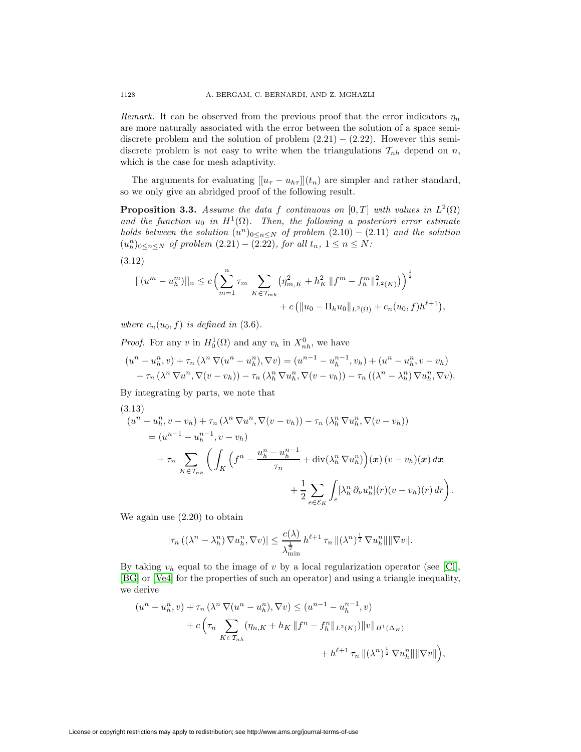*Remark.* It can be observed from the previous proof that the error indicators  $\eta_n$ are more naturally associated with the error between the solution of a space semidiscrete problem and the solution of problem  $(2.21) - (2.22)$ . However this semidiscrete problem is not easy to write when the triangulations  $\mathcal{T}_{nh}$  depend on n, which is the case for mesh adaptivity.

The arguments for evaluating  $[[u_\tau - u_{h\tau}]](t_n)$  are simpler and rather standard, so we only give an abridged proof of the following result.

**Proposition 3.3.** *Assume the data* f *continuous on* [0, T] *with values in*  $L^2(\Omega)$ and the function  $u_0$  in  $H^1(\Omega)$ . Then, the following a posteriori error estimate *holds between the solution*  $(u^n)_{0 \leq n \leq N}$  *of problem*  $(2.10) - (2.11)$  *and the solution*  $(u_h^n)_{0 \le n \le N}$  of problem  $(2.21) - (2.22)$ *, for all*  $t_n$ ,  $1 ≤ n ≤ N$ .

$$
(3.12)
$$

$$
[[(um - uhm)]n \le c \left( \sum_{m=1}^{n} \tau_m \sum_{K \in \mathcal{T}_{mh}} (\eta_{m,K}^2 + h_K^2 ||fm - fhm ||_{L^2(K)}^2) \right)^{\frac{1}{2}} + c (||u0 - \Pi_h u0||_{L^2(\Omega)} + c_n(u0, f)h\ell+1),
$$

*where*  $c_n(u_0, f)$  *is defined in* (3.6).

*Proof.* For any v in  $H_0^1(\Omega)$  and any  $v_h$  in  $X_{nh}^0$ , we have

$$
(un - uhn, v) + \tau_n (\lambda^n \nabla (un - uhn), \nabla v) = (un-1 - uhn-1, vh) + (un - uhn, v - vh) + \tau_n (\lambda^n \nabla un, \nabla (v - vh)) - \tau_n (\lambda^n \nabla uhn, \nabla (v - vh)) - \tau_n ((\lambdan - \lambdahn) \nabla uhn, \nabla v).
$$

By integrating by parts, we note that

(3.13)  
\n
$$
(u^n - u_h^n, v - v_h) + \tau_n (\lambda^n \nabla u^n, \nabla (v - v_h)) - \tau_n (\lambda_h^n \nabla u_h^n, \nabla (v - v_h))
$$
\n
$$
= (u^{n-1} - u_h^{n-1}, v - v_h)
$$
\n
$$
+ \tau_n \sum_{K \in \mathcal{T}_{nh}} \left( \int_K \left( f^n - \frac{u_h^n - u_h^{n-1}}{\tau_n} + \operatorname{div}(\lambda_h^n \nabla u_h^n) \right) (\boldsymbol{x}) (v - v_h)(\boldsymbol{x}) d\boldsymbol{x} + \frac{1}{2} \sum_{e \in \mathcal{E}_K} \int_e [\lambda_h^n \partial_\nu u_h^n](r) (v - v_h)(r) dr \right)
$$

.

We again use (2.20) to obtain

$$
|\tau_n((\lambda^n - \lambda_h^n) \nabla u_h^n, \nabla v)| \leq \frac{c(\lambda)}{\lambda_{\min}^{\frac{1}{2}}} h^{\ell+1} \tau_n \|(\lambda^n)^{\frac{1}{2}} \nabla u_h^n\| \|\nabla v\|.
$$

By taking  $v_h$  equal to the image of v by a local regularization operator (see [\[Cl\]](#page-20-17), [\[BG\]](#page-20-18) or [\[Ve4\]](#page-20-19) for the properties of such an operator) and using a triangle inequality, we derive

$$
(u^{n} - u_{h}^{n}, v) + \tau_{n} (\lambda^{n} \nabla (u^{n} - u_{h}^{n}), \nabla v) \leq (u^{n-1} - u_{h}^{n-1}, v) + c \left( \tau_{n} \sum_{K \in \mathcal{T}_{n h}} (\eta_{n,K} + h_{K} \| f^{n} - f_{h}^{n} \|_{L^{2}(K)}) \| v \|_{H^{1}(\Delta_{K})} + h^{\ell+1} \tau_{n} \| (\lambda^{n})^{\frac{1}{2}} \nabla u_{h}^{n} \| \| \nabla v \| \right),
$$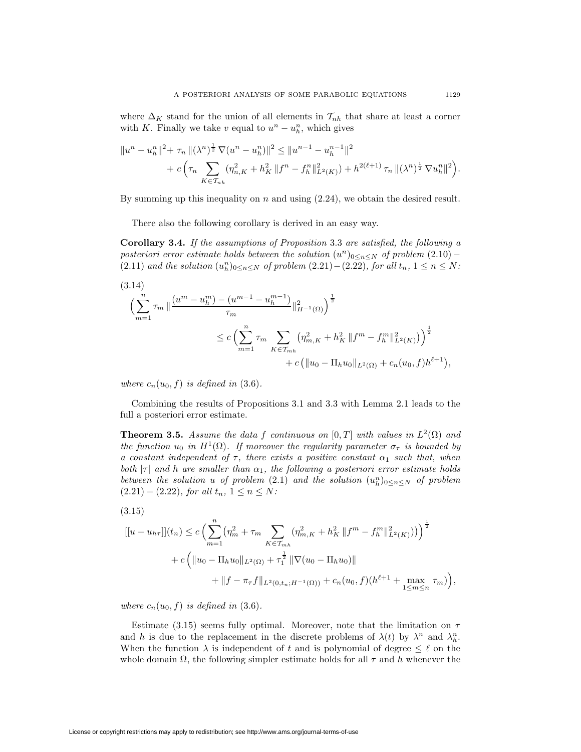where  $\Delta_K$  stand for the union of all elements in  $\mathcal{T}_{nh}$  that share at least a corner with K. Finally we take v equal to  $u^n - u_h^n$ , which gives

$$
||u^{n} - u_{h}^{n}||^{2} + \tau_{n} ||(\lambda^{n})^{\frac{1}{2}} \nabla (u^{n} - u_{h}^{n})||^{2} \leq ||u^{n-1} - u_{h}^{n-1}||^{2} + c \left(\tau_{n} \sum_{K \in \mathcal{T}_{nh}} (\eta_{n,K}^{2} + h_{K}^{2} || f^{n} - f_{h}^{n} ||_{L^{2}(K)}^{2}) + h^{2(\ell+1)} \tau_{n} ||(\lambda^{n})^{\frac{1}{2}} \nabla u_{h}^{n}||^{2}\right).
$$

By summing up this inequality on  $n$  and using  $(2.24)$ , we obtain the desired result.

There also the following corollary is derived in an easy way.

**Corollary 3.4.** *If the assumptions of Proposition* 3.3 *are satisfied, the following a posteriori error estimate holds between the solution*  $(u^n)_{0 \leq n \leq N}$  *of problem* (2.10) −  $(2.11)$  and the solution  $(u_h^n)_{0 \le n \le N}$  of problem  $(2.21) - (2.22)$ *, for all*  $t_n$ ,  $1 \le n \le N$ .

$$
(3.14)
$$
\n
$$
\left(\sum_{m=1}^{n} \tau_m \left\| \frac{(u^m - u_h^m) - (u^{m-1} - u_h^{m-1})}{\tau_m} \right\|_{H^{-1}(\Omega)}^2 \right)^{\frac{1}{2}}
$$
\n
$$
\leq c \left(\sum_{m=1}^{n} \tau_m \sum_{K \in \mathcal{T}_{mh}} \left(\eta_{m,K}^2 + h_K^2 \| f^m - f_h^m \|_{L^2(K)}^2 \right) \right)^{\frac{1}{2}}
$$
\n
$$
+ c \left( \|u_0 - \Pi_h u_0\|_{L^2(\Omega)} + c_n (u_0, f) h^{\ell+1} \right),
$$

*where*  $c_n(u_0, f)$  *is defined in* (3.6).

Combining the results of Propositions 3.1 and 3.3 with Lemma 2.1 leads to the full a posteriori error estimate.

**Theorem 3.5.** *Assume the data* f *continuous on* [0, T] *with values in*  $L^2(\Omega)$  *and the function*  $u_0$  *in*  $H^1(\Omega)$ *. If moreover the regularity parameter*  $\sigma_{\tau}$  *is bounded by a constant independent of*  $\tau$ *, there exists a positive constant*  $\alpha_1$  *such that, when both*  $|\tau|$  *and h are smaller than*  $\alpha_1$ *, the following a posteriori error estimate holds between the solution* u of problem  $(2.1)$  and the solution  $(u_h^n)_{0 \leq n \leq N}$  of problem  $(2.21) - (2.22)$ *, for all*  $t_n$ ,  $1 \le n \le N$ *:* 

$$
(3.15)
$$

$$
[[u - u_{h\tau}]](t_n) \le c \left( \sum_{m=1}^n (\eta_m^2 + \tau_m \sum_{K \in \mathcal{T}_{mh}} (\eta_{m,K}^2 + h_K^2 \| f^m - f_h^m \|_{L^2(K)}^2)) \right)^{\frac{1}{2}}
$$
  
+  $c \left( \|u_0 - \Pi_h u_0\|_{L^2(\Omega)} + \tau_1^{\frac{1}{2}} \|\nabla(u_0 - \Pi_h u_0)\| + \|f - \pi_\tau f\|_{L^2(0, t_n; H^{-1}(\Omega))} + c_n (u_0, f)(h^{\ell+1} + \max_{1 \le m \le n} \tau_m) \right),$ 

*where*  $c_n(u_0, f)$  *is defined in* (3.6).

Estimate (3.15) seems fully optimal. Moreover, note that the limitation on  $\tau$ and h is due to the replacement in the discrete problems of  $\lambda(t)$  by  $\lambda^n$  and  $\lambda^n_h$ . When the function  $\lambda$  is independent of t and is polynomial of degree  $\leq \ell$  on the whole domain  $\Omega$ , the following simpler estimate holds for all  $\tau$  and h whenever the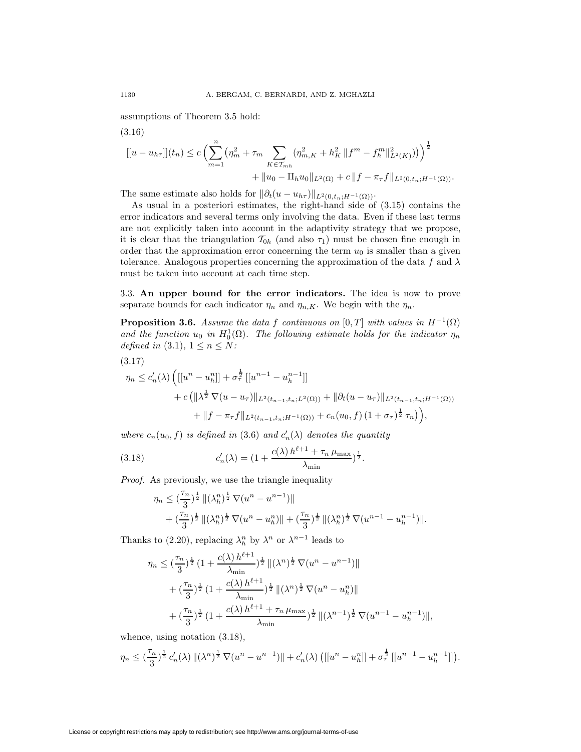assumptions of Theorem 3.5 hold:

$$
[[u - u_{h\tau}]](t_n) \le c \left( \sum_{m=1}^n \left( \eta_m^2 + \tau_m \sum_{K \in \mathcal{T}_{mh}} (\eta_{m,K}^2 + h_K^2 ||f^m - f_h^m||_{L^2(K)}^2) \right) \right)^{\frac{1}{2}} + ||u_0 - \Pi_h u_0||_{L^2(\Omega)} + c ||f - \pi_\tau f||_{L^2(0, t_n; H^{-1}(\Omega))}.
$$

The same estimate also holds for  $\|\partial_t(u - u_{h\tau})\|_{L^2(0,t_n;H^{-1}(\Omega))}$ .

As usual in a posteriori estimates, the right-hand side of (3.15) contains the error indicators and several terms only involving the data. Even if these last terms are not explicitly taken into account in the adaptivity strategy that we propose, it is clear that the triangulation  $\mathcal{T}_{0h}$  (and also  $\tau_1$ ) must be chosen fine enough in order that the approximation error concerning the term  $u_0$  is smaller than a given tolerance. Analogous properties concerning the approximation of the data f and  $\lambda$ must be taken into account at each time step.

3.3. **An upper bound for the error indicators.** The idea is now to prove separate bounds for each indicator  $\eta_n$  and  $\eta_{n,K}$ . We begin with the  $\eta_n$ .

**Proposition 3.6.** *Assume the data* f *continuous on* [0, T] *with values in*  $H^{-1}(\Omega)$ and the function  $u_0$  in  $H_0^1(\Omega)$ . The following estimate holds for the indicator  $\eta_n$ *defined in* (3.1),  $1 \leq n \leq N$ *:* 

(3.17)

$$
\eta_n \leq c'_n(\lambda) \left( [[u^n - u_h^n]] + \sigma_\tau^{\frac{1}{2}} [[u^{n-1} - u_h^{n-1}]] \right) + c \left( \|\lambda^{\frac{1}{2}} \nabla (u - u_\tau) \|_{L^2(t_{n-1}, t_n; L^2(\Omega))} + \|\partial_t (u - u_\tau) \|_{L^2(t_{n-1}, t_n; H^{-1}(\Omega))} + \|f - \pi_\tau f\|_{L^2(t_{n-1}, t_n; H^{-1}(\Omega))} + c_n(u_0, f) (1 + \sigma_\tau)^{\frac{1}{2}} \tau_n) \right),
$$

*where*  $c_n(u_0, f)$  *is defined in* (3.6) *and*  $c'_n(\lambda)$  *denotes the quantity* 

(3.18) 
$$
c'_{n}(\lambda) = (1 + \frac{c(\lambda) h^{\ell+1} + \tau_n \mu_{\max}}{\lambda_{\min}})^{\frac{1}{2}}.
$$

*Proof.* As previously, we use the triangle inequality

$$
\eta_n \leq \left(\frac{\tau_n}{3}\right)^{\frac{1}{2}} \|(\lambda_h^n)^{\frac{1}{2}} \nabla (u^n - u^{n-1})\|
$$
  
+ 
$$
\left(\frac{\tau_n}{3}\right)^{\frac{1}{2}} \|(\lambda_h^n)^{\frac{1}{2}} \nabla (u^n - u_h^n)\| + \left(\frac{\tau_n}{3}\right)^{\frac{1}{2}} \|(\lambda_h^n)^{\frac{1}{2}} \nabla (u^{n-1} - u_h^{n-1})\|.
$$

Thanks to (2.20), replacing  $\lambda_h^n$  by  $\lambda^n$  or  $\lambda^{n-1}$  leads to

$$
\eta_n \leq \left(\frac{\tau_n}{3}\right)^{\frac{1}{2}} \left(1 + \frac{c(\lambda) h^{\ell+1}}{\lambda_{\min}}\right)^{\frac{1}{2}} \|(\lambda^n)^{\frac{1}{2}} \nabla (u^n - u^{n-1})\| \n+ \left(\frac{\tau_n}{3}\right)^{\frac{1}{2}} \left(1 + \frac{c(\lambda) h^{\ell+1}}{\lambda_{\min}}\right)^{\frac{1}{2}} \|(\lambda^n)^{\frac{1}{2}} \nabla (u^n - u_h^n)\| \n+ \left(\frac{\tau_n}{3}\right)^{\frac{1}{2}} \left(1 + \frac{c(\lambda) h^{\ell+1} + \tau_n \mu_{\max}}{\lambda_{\min}}\right)^{\frac{1}{2}} \|(\lambda^{n-1})^{\frac{1}{2}} \nabla (u^{n-1} - u_h^{n-1})\|,
$$

whence, using notation  $(3.18)$ ,

$$
\eta_n \leq (\frac{\tau_n}{3})^{\frac{1}{2}} c'_n(\lambda) \|(\lambda^n)^{\frac{1}{2}} \nabla (u^n - u^{n-1}) \| + c'_n(\lambda) \left( [[u^n - u_h^n]] + \sigma_\tau^{\frac{1}{2}} [[u^{n-1} - u_h^{n-1}]] \right).
$$

(3.16)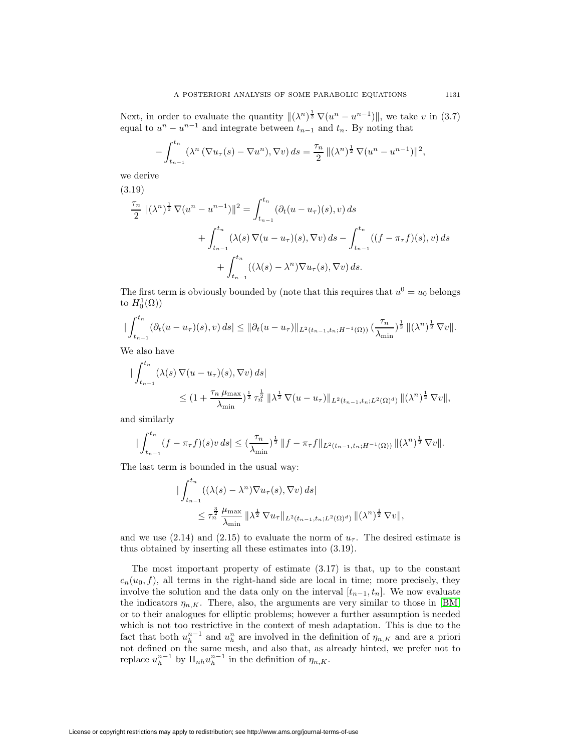Next, in order to evaluate the quantity  $\|(\lambda^n)^{\frac{1}{2}} \nabla (u^n - u^{n-1})\|$ , we take v in (3.7) equal to  $u^n - u^{n-1}$  and integrate between  $t_{n-1}$  and  $t_n$ . By noting that

$$
-\int_{t_{n-1}}^{t_n} (\lambda^n (\nabla u_\tau(s) - \nabla u^n), \nabla v) ds = \frac{\tau_n}{2} ||(\lambda^n)^{\frac{1}{2}} \nabla (u^n - u^{n-1})||^2,
$$

we derive

(3.19)  
\n
$$
\frac{\tau_n}{2} ||(\lambda^n)^{\frac{1}{2}} \nabla (u^n - u^{n-1})||^2 = \int_{t_{n-1}}^{t_n} (\partial_t (u - u_\tau)(s), v) ds
$$
\n
$$
+ \int_{t_{n-1}}^{t_n} (\lambda(s) \nabla (u - u_\tau)(s), \nabla v) ds - \int_{t_{n-1}}^{t_n} ((f - \pi_\tau f)(s), v) ds
$$
\n
$$
+ \int_{t_{n-1}}^{t_n} ((\lambda(s) - \lambda^n) \nabla u_\tau(s), \nabla v) ds.
$$

The first term is obviously bounded by (note that this requires that  $u^0 = u_0$  belongs to  $H_0^1(\Omega)$ 

$$
\left|\int_{t_{n-1}}^{t_n} (\partial_t (u - u_\tau)(s), v) ds \right| \leq \|\partial_t (u - u_\tau)\|_{L^2(t_{n-1}, t_n; H^{-1}(\Omega))} \left(\frac{\tau_n}{\lambda_{\min}}\right)^{\frac{1}{2}} \| (\lambda^n)^{\frac{1}{2}} \nabla v \|.
$$

We also have

$$
\begin{split} \|\int_{t_{n-1}}^{t_n} (\lambda(s)\,\nabla(u-u_\tau)(s),\nabla v)\,ds|\\ &\leq (1+\frac{\tau_n\,\mu_{\max}}{\lambda_{\min}})^{\frac{1}{2}}\,\tau_n^{\frac{1}{2}}\,\|\lambda^{\frac{1}{2}}\,\nabla(u-u_\tau)\|_{L^2(t_{n-1},t_n;L^2(\Omega)^d)}\,\|(\lambda^n)^{\frac{1}{2}}\,\nabla v\|, \end{split}
$$

and similarly

$$
\big|\int_{t_{n-1}}^{t_n} (f - \pi_\tau f)(s)v \, ds\big| \leq \left(\frac{\tau_n}{\lambda_{\min}}\right)^{\frac{1}{2}} \|f - \pi_\tau f\|_{L^2(t_{n-1}, t_n; H^{-1}(\Omega))} \|(\lambda^n)^{\frac{1}{2}} \nabla v\|.
$$

The last term is bounded in the usual way:

$$
\begin{split} \|\int_{t_{n-1}}^{t_n} ((\lambda(s)-\lambda^n)\nabla u_\tau(s), \nabla v) ds| \\ &\leq \tau_n^{\frac{3}{2}} \frac{\mu_{\max}}{\lambda_{\min}} \|\lambda^{\frac{1}{2}} \nabla u_\tau\|_{L^2(t_{n-1}, t_n; L^2(\Omega)^d)} \|(\lambda^n)^{\frac{1}{2}} \nabla v\|, \end{split}
$$

and we use (2.14) and (2.15) to evaluate the norm of  $u<sub>\tau</sub>$ . The desired estimate is thus obtained by inserting all these estimates into (3.19).

The most important property of estimate (3.17) is that, up to the constant  $c_n(u_0, f)$ , all terms in the right-hand side are local in time; more precisely, they involve the solution and the data only on the interval  $[t_{n-1}, t_n]$ . We now evaluate the indicators  $\eta_{n,K}$ . There, also, the arguments are very similar to those in [\[BM\]](#page-20-6) or to their analogues for elliptic problems; however a further assumption is needed which is not too restrictive in the context of mesh adaptation. This is due to the fact that both  $u_h^{n-1}$  and  $u_h^n$  are involved in the definition of  $\eta_{n,K}$  and are a priori not defined on the same mesh, and also that, as already hinted, we prefer not to replace  $u_h^{n-1}$  by  $\Pi_{nh}u_h^{n-1}$  in the definition of  $\eta_{n,K}$ .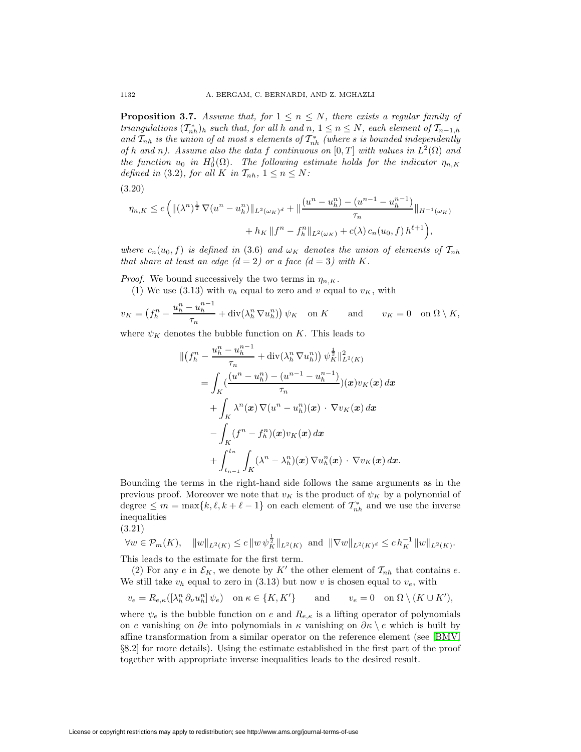**Proposition 3.7.** Assume that, for  $1 \leq n \leq N$ , there exists a regular family of *triangulations*  $(T_{nh}^*)_h$  *such that, for all* h *and*  $n, 1 \le n \le N$ *, each element of*  $T_{n-1,h}$ and  $T_{nh}$  is the union of at most s elements of  $T_{nh}^*$  (where s is bounded independently *of* h and n). Assume also the data f continuous on  $[0, T]$  *with values in*  $L^2(\Omega)$  and *the function*  $u_0$  *in*  $H_0^1(\Omega)$ *. The following estimate holds for the indicator*  $\eta_{n,K}$ *defined in* (3.2)*, for all* K *in*  $\mathcal{T}_{nh}$ *,*  $1 \leq n \leq N$ *:* 

$$
(3.20)
$$

$$
\eta_{n,K} \le c \left( \| (\lambda^n)^{\frac{1}{2}} \nabla (u^n - u_h^n) \|_{L^2(\omega_K)^d} + \| \frac{(u^n - u_h^n) - (u^{n-1} - u_h^{n-1})}{\tau_n} \|_{H^{-1}(\omega_K)} + h_K \| f^n - f_h^n \|_{L^2(\omega_K)} + c(\lambda) c_n (u_0, f) h^{\ell+1} \right),
$$

*where*  $c_n(u_0, f)$  *is defined in* (3.6) *and*  $\omega_K$  *denotes the union of elements of*  $\mathcal{T}_{nh}$ *that share at least an edge (d = 2) or a face (d = 3) with* K.

*Proof.* We bound successively the two terms in  $\eta_{n,K}$ .

(1) We use (3.13) with  $v_h$  equal to zero and v equal to  $v_K$ , with

$$
v_K = \left(f_h^n - \frac{u_h^n - u_h^{n-1}}{\tau_n} + \operatorname{div}(\lambda_h^n \nabla u_h^n)\right) \psi_K \quad \text{on } K \qquad \text{and} \qquad v_K = 0 \quad \text{on } \Omega \setminus K,
$$

where  $\psi_K$  denotes the bubble function on K. This leads to

$$
\begin{split} \|\left(f_h^n - \frac{u_h^n - u_h^{n-1}}{\tau_n} + \operatorname{div}(\lambda_h^n \nabla u_h^n)\right) \psi_K^{\frac{1}{2}}\|_{L^2(K)}^2 \\ &= \int_K \left(\frac{(u^n - u_h^n) - (u^{n-1} - u_h^{n-1})}{\tau_n}\right)(\boldsymbol{x}) v_K(\boldsymbol{x}) \, d\boldsymbol{x} \\ &+ \int_K \lambda^n(\boldsymbol{x}) \, \nabla(u^n - u_h^n)(\boldsymbol{x}) \, \cdot \nabla v_K(\boldsymbol{x}) \, d\boldsymbol{x} \\ &- \int_K (f^n - f_h^n)(\boldsymbol{x}) v_K(\boldsymbol{x}) \, d\boldsymbol{x} \\ &+ \int_{t_{n-1}}^{t_n} \int_K (\lambda^n - \lambda_h^n)(\boldsymbol{x}) \, \nabla u_h^n(\boldsymbol{x}) \, \cdot \nabla v_K(\boldsymbol{x}) \, d\boldsymbol{x} .\end{split}
$$

Bounding the terms in the right-hand side follows the same arguments as in the previous proof. Moreover we note that  $v_K$  is the product of  $\psi_K$  by a polynomial of degree  $\leq m = \max\{k, \ell, k + \ell - 1\}$  on each element of  $\mathcal{T}_{nh}^*$  and we use the inverse inequalities

$$
(3.21)
$$

$$
\forall w \in \mathcal{P}_m(K), \quad \|w\|_{L^2(K)} \le c \, \|w \, \psi_K^{\frac{1}{2}}\|_{L^2(K)} \text{ and } \|\nabla w\|_{L^2(K)^d} \le c \, h_K^{-1} \, \|w\|_{L^2(K)}.
$$

This leads to the estimate for the first term.

(2) For any e in  $\mathcal{E}_K$ , we denote by K' the other element of  $\mathcal{T}_{nh}$  that contains e. We still take  $v_h$  equal to zero in (3.13) but now v is chosen equal to  $v_e$ , with

$$
v_e = R_{e,\kappa}([\lambda_h^n \partial_\nu u_h^n] \psi_e) \quad \text{on } \kappa \in \{K, K'\} \quad \text{and} \quad v_e = 0 \quad \text{on } \Omega \setminus (K \cup K'),
$$

where  $\psi_e$  is the bubble function on e and  $R_{e,\kappa}$  is a lifting operator of polynomials on e vanishing on ∂e into polynomials in  $\kappa$  vanishing on  $\partial \kappa \setminus e$  which is built by affine transformation from a similar operator on the reference element (see [\[BMV,](#page-20-12) §8.2] for more details). Using the estimate established in the first part of the proof together with appropriate inverse inequalities leads to the desired result.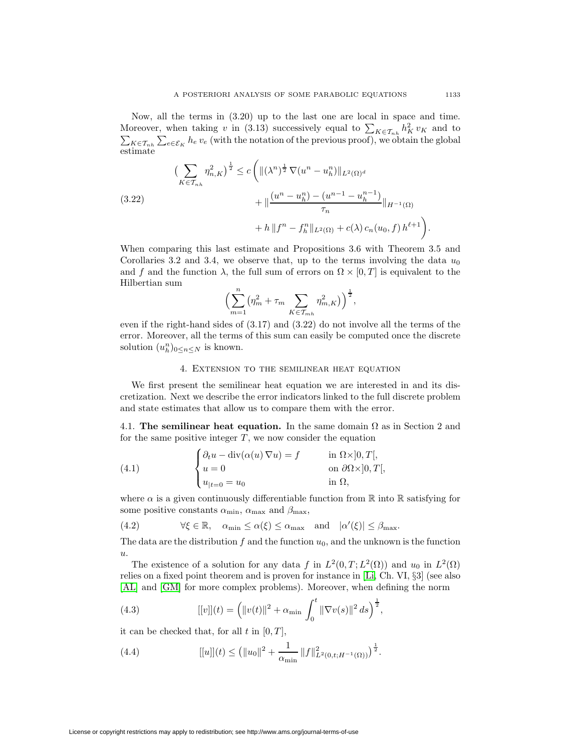Now, all the terms in (3.20) up to the last one are local in space and time. Moreover, when taking v in (3.13) successively equal to  $\sum_{K \in \mathcal{T}_{nh}} h_F^2$  $\sum$  $K^2$ <sub>K</sub> v<sub>K</sub> and to  $K\in\mathcal{T}_{nh}$   $\sum_{e\in\mathcal{E}_K} h_e v_e$  (with the notation of the previous proof), we obtain the global estimate

$$
\left(\sum_{K \in \mathcal{T}_{nh}} \eta_{n,K}^2\right)^{\frac{1}{2}} \le c \left( \| (\lambda^n)^{\frac{1}{2}} \nabla (u^n - u_h^n) \|_{L^2(\Omega)^d} \right. \\ \left. + \| \frac{(u^n - u_h^n) - (u^{n-1} - u_h^{n-1})}{\tau_n} \|_{H^{-1}(\Omega)} \right. \\ \left. + h \| f^n - f_h^n \|_{L^2(\Omega)} + c(\lambda) \, c_n(u_0, f) \, h^{\ell+1} \right).
$$

When comparing this last estimate and Propositions 3.6 with Theorem 3.5 and Corollaries 3.2 and 3.4, we observe that, up to the terms involving the data  $u_0$ and f and the function  $\lambda$ , the full sum of errors on  $\Omega \times [0, T]$  is equivalent to the Hilbertian sum n

$$
\left(\sum_{m=1}^n \left(\eta_m^2 + \tau_m \sum_{K \in \mathcal{T}_{mh}} \eta_{m,K}^2\right)\right)^{\frac{1}{2}},
$$

even if the right-hand sides of (3.17) and (3.22) do not involve all the terms of the error. Moreover, all the terms of this sum can easily be computed once the discrete solution  $(u_h^n)_{0 \leq n \leq N}$  is known.

## 4. Extension to the semilinear heat equation

We first present the semilinear heat equation we are interested in and its discretization. Next we describe the error indicators linked to the full discrete problem and state estimates that allow us to compare them with the error.

4.1. **The semilinear heat equation.** In the same domain  $\Omega$  as in Section 2 and for the same positive integer  $T$ , we now consider the equation

(4.1) 
$$
\begin{cases} \partial_t u - \operatorname{div}(\alpha(u) \nabla u) = f & \text{in } \Omega \times ]0, T[, \\ u = 0 & \text{on } \partial \Omega \times ]0, T[, \\ u_{|t=0} = u_0 & \text{in } \Omega, \end{cases}
$$

where  $\alpha$  is a given continuously differentiable function from  $\mathbb R$  into  $\mathbb R$  satisfying for some positive constants  $\alpha_{\min}$ ,  $\alpha_{\max}$  and  $\beta_{\max}$ ,

(4.2) 
$$
\forall \xi \in \mathbb{R}, \quad \alpha_{\min} \leq \alpha(\xi) \leq \alpha_{\max} \quad \text{and} \quad |\alpha'(\xi)| \leq \beta_{\max}.
$$

The data are the distribution  $f$  and the function  $u_0$ , and the unknown is the function u.

The existence of a solution for any data f in  $L^2(0,T;L^2(\Omega))$  and  $u_0$  in  $L^2(\Omega)$ relies on a fixed point theorem and is proven for instance in [\[Li,](#page-20-20) Ch. VI, §3] (see also [\[AL\]](#page-20-21) and [\[GM\]](#page-20-22) for more complex problems). Moreover, when defining the norm

(4.3) 
$$
[[v]](t) = (||v(t)||^2 + \alpha_{\min} \int_0^t ||\nabla v(s)||^2 ds)^{\frac{1}{2}},
$$

it can be checked that, for all t in  $[0, T]$ ,

(4.4) 
$$
[[u]](t) \leq (||u_0||^2 + \frac{1}{\alpha_{\min}} ||f||^2_{L^2(0,t;H^{-1}(\Omega))})^{\frac{1}{2}}.
$$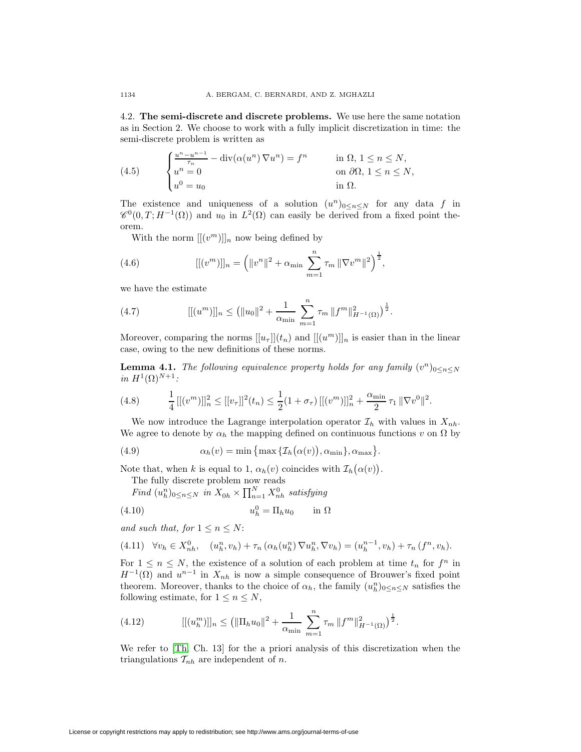4.2. **The semi-discrete and discrete problems.** We use here the same notation as in Section 2. We choose to work with a fully implicit discretization in time: the semi-discrete problem is written as

(4.5) 
$$
\begin{cases} \frac{u^n - u^{n-1}}{\tau_n} - \operatorname{div}(\alpha(u^n) \nabla u^n) = f^n & \text{in } \Omega, 1 \le n \le N, \\ u^n = 0 & \text{on } \partial \Omega, 1 \le n \le N, \\ u^0 = u_0 & \text{in } \Omega. \end{cases}
$$

The existence and uniqueness of a solution  $(u^n)_{0 \leq n \leq N}$  for any data f in  $\mathscr{C}^0(0,T;H^{-1}(\Omega))$  and  $u_0$  in  $L^2(\Omega)$  can easily be derived from a fixed point theorem.

With the norm  $[[(v^m)]]_n$  now being defined by

(4.6) 
$$
[[ (vm )]]n = (||vn||2 + \alpha_{\min} \sum_{m=1}^{n} \tau_m ||\nabla vm||2)\frac{1}{2},
$$

we have the estimate

(4.7) 
$$
[[(u^m)]]_n \leq (||u_0||^2 + \frac{1}{\alpha_{\min}} \sum_{m=1}^n \tau_m ||f^m||^2_{H^{-1}(\Omega)})^{\frac{1}{2}}.
$$

Moreover, comparing the norms  $[[u_\tau]](t_n)$  and  $[[(u^m)]]_n$  is easier than in the linear case, owing to the new definitions of these norms.

**Lemma 4.1.** *The following equivalence property holds for any family*  $(v^n)_{0 \leq n \leq N}$ *in*  $H^1(\Omega)^{N+1}$ *:* 

(4.8) 
$$
\frac{1}{4} \left[ [(v^m)]_{n}^2 \leq [[v_{\tau}]]^2(t_n) \leq \frac{1}{2} (1 + \sigma_{\tau}) \left[ [(v^m)]_{n}^2 + \frac{\alpha_{\min}}{2} \tau_1 \|\nabla v^0\|^2 \right].
$$

We now introduce the Lagrange interpolation operator  $\mathcal{I}_h$  with values in  $X_{nh}$ . We agree to denote by  $\alpha_h$  the mapping defined on continuous functions v on  $\Omega$  by

(4.9) 
$$
\alpha_h(v) = \min \{ \max \{ \mathcal{I}_h(\alpha(v)), \alpha_{\min} \}, \alpha_{\max} \}.
$$

Note that, when k is equal to 1,  $\alpha_h(v)$  coincides with  $\mathcal{I}_h(\alpha(v))$ .

The fully discrete problem now reads

Find 
$$
(u_h^n)_{0 \le n \le N}
$$
 in  $X_{0h} \times \prod_{n=1}^N X_{nh}^0$  satisfying

$$
(4.10) \t\t u_h^0 = \Pi_h u_0 \t\t \text{in } \Omega
$$

*and such that, for*  $1 \leq n \leq N$ :

$$
(4.11) \quad \forall v_h \in X_{nh}^0, \quad (u_h^n, v_h) + \tau_n \left( \alpha_h(u_h^n) \nabla u_h^n, \nabla v_h \right) = (u_h^{n-1}, v_h) + \tau_n \left( f^n, v_h \right).
$$

For  $1 \leq n \leq N$ , the existence of a solution of each problem at time  $t_n$  for  $f^n$  in  $H^{-1}(\Omega)$  and  $u^{n-1}$  in  $X_{nh}$  is now a simple consequence of Brouwer's fixed point theorem. Moreover, thanks to the choice of  $\alpha_h$ , the family  $(u_h^n)_{0 \leq n \leq N}$  satisfies the following estimate, for  $1 \leq n \leq N$ ,

(4.12) 
$$
[[ (u_h^m)]]_n \leq (||\Pi_h u_0||^2 + \frac{1}{\alpha_{\min}} \sum_{m=1}^n \tau_m ||f^m||^2_{H^{-1}(\Omega)})^{\frac{1}{2}}.
$$

We refer to [\[Th,](#page-20-15) Ch. 13] for the a priori analysis of this discretization when the triangulations  $\mathcal{T}_{nh}$  are independent of n.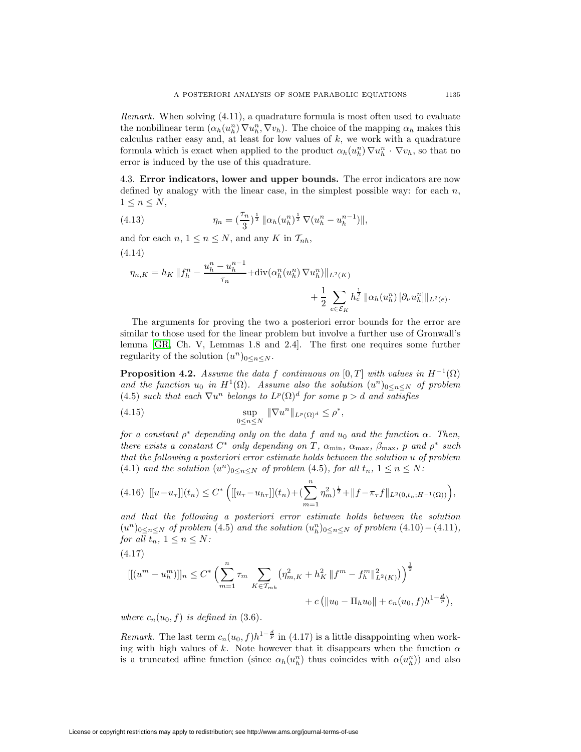*Remark.* When solving (4.11), a quadrature formula is most often used to evaluate the nonbilinear term  $(\alpha_h(u_h^n) \nabla u_h^n, \nabla v_h)$ . The choice of the mapping  $\alpha_h$  makes this calculus rather easy and, at least for low values of  $k$ , we work with a quadrature formula which is exact when applied to the product  $\alpha_h(u_h^n) \nabla u_h^n \cdot \nabla v_h$ , so that no error is induced by the use of this quadrature.

4.3. **Error indicators, lower and upper bounds.** The error indicators are now defined by analogy with the linear case, in the simplest possible way: for each  $n$ ,  $1 \leq n \leq N$ ,

(4.13) 
$$
\eta_n = \left(\frac{\tau_n}{3}\right)^{\frac{1}{2}} \|\alpha_h(u_h^n)^{\frac{1}{2}} \nabla (u_h^n - u_h^{n-1})\|,
$$

and for each  $n, 1 \leq n \leq N$ , and any K in  $\mathcal{T}_{nh}$ , (4.14)

$$
\eta_{n,K} = h_K \|f_h^n - \frac{u_h^n - u_h^{n-1}}{\tau_n} + \text{div}(\alpha_h^n(u_h^n) \nabla u_h^n) \|_{L^2(K)} + \frac{1}{2} \sum_{e \in \mathcal{E}_K} h_e^{\frac{1}{2}} \|\alpha_h(u_h^n) [\partial_\nu u_h^n] \|_{L^2(e)}.
$$

The arguments for proving the two a posteriori error bounds for the error are similar to those used for the linear problem but involve a further use of Gronwall's lemma [\[GR,](#page-20-23) Ch. V, Lemmas 1.8 and 2.4]. The first one requires some further regularity of the solution  $(u^n)_{0 \leq n \leq N}$ .

**Proposition 4.2.** *Assume the data* f *continuous on* [0, T] *with values in*  $H^{-1}(\Omega)$ and the function  $u_0$  in  $H^1(\Omega)$ . Assume also the solution  $(u^n)_{0 \leq n \leq N}$  of problem (4.5) *such that each*  $\nabla u^n$  *belongs to*  $L^p(\Omega)^d$  *for some*  $p > d$  *and satisfies* 

(4.15) 
$$
\sup_{0 \le n \le N} \|\nabla u^n\|_{L^p(\Omega)^d} \le \rho^*,
$$

n

*for a constant*  $\rho^*$  *depending only on the data* f *and*  $u_0$  *and the function*  $\alpha$ *. Then, there exists a constant*  $C^*$  *only depending on*  $T$ *,*  $\alpha_{\min}$ *,*  $\alpha_{\max}$ *,*  $\beta_{\max}$ *,*  $p$  *and*  $p^*$  *such that the following a posteriori error estimate holds between the solution* u *of problem* (4.1) and the solution  $(u^n)_{0 \leq n \leq N}$  of problem (4.5), for all  $t_n$ ,  $1 \leq n \leq N$ :

$$
(4.16)\ \left[ [u - u_{\tau}]](t_n) \leq C^* \left( [[u_{\tau} - u_{h\tau}]](t_n) + (\sum_{m=1}^n \eta_m^2)^{\frac{1}{2}} + ||f - \pi_{\tau}f||_{L^2(0, t_n; H^{-1}(\Omega))} \right),
$$

*and that the following a posteriori error estimate holds between the solution*  $(u^n)_{0 \leq n \leq N}$  of problem (4.5) and the solution  $(u_h^n)_{0 \leq n \leq N}$  of problem  $(4.10) - (4.11)$ *, for all*  $t_n$ ,  $1 \leq n \leq N$ *:* 

$$
(4.17)
$$

$$
[[ (um - uhm )]]n \leq C* \left( \sum_{m=1}^{n} \tau_m \sum_{K \in \mathcal{T}_{mh}} (\eta_{m,K}^2 + h_K^2 || fm - fhm ||_{L^2(K)}^2) \right)^{\frac{1}{2}} + c (||u0 - \Pi_h u0|| + c_n(u0, f)h1-\frac{d}{p}),
$$

*where*  $c_n(u_0, f)$  *is defined in* (3.6).

*Remark.* The last term  $c_n(u_0, f)h^{1-\frac{d}{p}}$  in (4.17) is a little disappointing when working with high values of k. Note however that it disappears when the function  $\alpha$ is a truncated affine function (since  $\alpha_h(u_h^n)$ ) thus coincides with  $\alpha(u_h^n)$ ) and also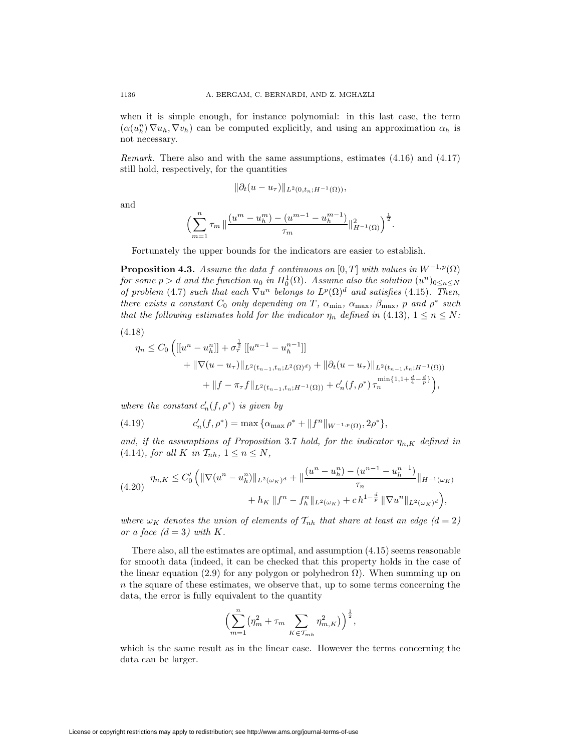when it is simple enough, for instance polynomial: in this last case, the term  $(\alpha(u_h^n) \nabla u_h, \nabla v_h)$  can be computed explicitly, and using an approximation  $\alpha_h$  is not necessary.

*Remark.* There also and with the same assumptions, estimates (4.16) and (4.17) still hold, respectively, for the quantities

$$
\|\partial_t(u-u_\tau)\|_{L^2(0,t_n;H^{-1}(\Omega))},
$$

and

$$
\Bigl(\sum_{m=1}^{n} \tau_m \, \big\| \frac{(u^m - u_h^m) - (u^{m-1} - u_h^{m-1})}{\tau_m} \big\|_{H^{-1}(\Omega)}^2 \Bigr)^{\frac{1}{2}}.
$$

Fortunately the upper bounds for the indicators are easier to establish.

**Proposition 4.3.** *Assume the data* f *continuous on* [0, T] *with values in*  $W^{-1,p}(\Omega)$ *for some*  $p > d$  *and the function*  $u_0$  *in*  $H_0^1(\Omega)$ *. Assume also the solution*  $(u^n)_{0 \leq n \leq N}$ *of problem* (4.7) *such that each*  $\nabla u^n$  *belongs to*  $L^p(\Omega)^d$  *and satisfies* (4.15)*. Then, there exists a constant*  $C_0$  *only depending on*  $T$ *,*  $\alpha_{\min}$ *,*  $\alpha_{\max}$ *,*  $\beta_{\max}$ *,*  $p$  *and*  $p^*$  *such that the following estimates hold for the indicator*  $\eta_n$  *defined in* (4.13)*,*  $1 \le n \le N$ *:* 

(4.18)

$$
\eta_n \leq C_0 \left( [[u^n - u_h^n]] + \sigma_\tau^{\frac{1}{2}} [[u^{n-1} - u_h^{n-1}]] \right)
$$
  
+ 
$$
\|\nabla (u - u_\tau)\|_{L^2(t_{n-1}, t_n; L^2(\Omega)^d)} + \|\partial_t (u - u_\tau)\|_{L^2(t_{n-1}, t_n; H^{-1}(\Omega))}
$$
  
+ 
$$
\|f - \pi_\tau f\|_{L^2(t_{n-1}, t_n; H^{-1}(\Omega))} + c_n'(f, \rho^*) \tau_n^{\min\{1, 1 + \frac{d}{4} - \frac{d}{p}\}}),
$$

*where the constant*  $c'_n(f, \rho^*)$  *is given by* 

(4.19) 
$$
c'_n(f, \rho^*) = \max \{ \alpha_{\max} \rho^* + ||f^n||_{W^{-1,p}(\Omega)}, 2\rho^* \},
$$

*and, if the assumptions of Proposition* 3.7 *hold, for the indicator*  $\eta_{n,K}$  *defined in*  $(4.14)$ *, for all* K *in*  $\mathcal{T}_{nh}$ *,*  $1 \leq n \leq N$ *,* 

$$
(4.20) \quad \eta_{n,K} \leq C_0' \left( \|\nabla (u^n - u_h^n)\|_{L^2(\omega_K)^d} + \|\frac{(u^n - u_h^n) - (u^{n-1} - u_h^{n-1})}{\tau_n}\|_{H^{-1}(\omega_K)} + h_K \|\mathbf{f}^n - \mathbf{f}_h^n\|_{L^2(\omega_K)} + ch^{1-\frac{d}{p}} \|\nabla u^n\|_{L^2(\omega_K)^d} \right),
$$

*where*  $\omega_K$  *denotes the union of elements of*  $\mathcal{T}_{nh}$  *that share at least an edge*  $(d = 2)$ *or a face*  $(d = 3)$  *with* K.

There also, all the estimates are optimal, and assumption (4.15) seems reasonable for smooth data (indeed, it can be checked that this property holds in the case of the linear equation (2.9) for any polygon or polyhedron  $\Omega$ ). When summing up on  $n$  the square of these estimates, we observe that, up to some terms concerning the data, the error is fully equivalent to the quantity

$$
\left(\sum_{m=1}^{n} (\eta_m^2 + \tau_m \sum_{K \in \mathcal{T}_{mh}} \eta_{m,K}^2)\right)^{\frac{1}{2}},
$$

which is the same result as in the linear case. However the terms concerning the data can be larger.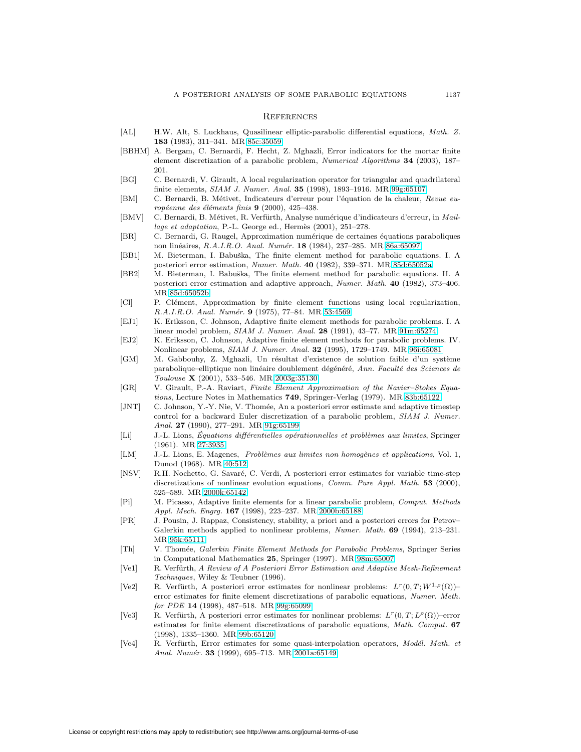#### **REFERENCES**

- <span id="page-20-21"></span>[AL] H.W. Alt, S. Luckhaus, Quasilinear elliptic-parabolic differential equations, Math. Z. **183** (1983), 311–341. MR [85c:35059](http://www.ams.org/mathscinet-getitem?mr=85c:35059)
- <span id="page-20-5"></span>[BBHM] A. Bergam, C. Bernardi, F. Hecht, Z. Mghazli, Error indicators for the mortar finite element discretization of a parabolic problem, Numerical Algorithms **34** (2003), 187– 201.
- <span id="page-20-18"></span>[BG] C. Bernardi, V. Girault, A local regularization operator for triangular and quadrilateral finite elements, SIAM J. Numer. Anal. **35** (1998), 1893–1916. MR [99g:65107](http://www.ams.org/mathscinet-getitem?mr=99g:65107)
- <span id="page-20-6"></span>[BM] C. Bernardi, B. Métivet, Indicateurs d'erreur pour l'équation de la chaleur, Revue européenne des éléments finis 9 (2000), 425-438.
- <span id="page-20-12"></span>[BMV] C. Bernardi, B. Métivet, R. Verfürth, Analyse numérique d'indicateurs d'erreur, in Maillage et adaptation, P.-L. George ed., Hermès  $(2001)$ , 251–278.
- <span id="page-20-14"></span>[BR] C. Bernardi, G. Raugel, Approximation numérique de certaines équations paraboliques non lin´eaires, R.A.I.R.O. Anal. Num´er. **18** (1984), 237–285. MR [86a:65097](http://www.ams.org/mathscinet-getitem?mr=86a:65097)
- <span id="page-20-3"></span>[BB1] M. Bieterman, I. Babuška, The finite element method for parabolic equations. I. A posteriori error estimation, Numer. Math. **40** (1982), 339–371. MR [85d:65052a](http://www.ams.org/mathscinet-getitem?mr=85d:65052a)
- <span id="page-20-4"></span>[BB2] M. Bieterman, I. Babuška, The finite element method for parabolic equations. II. A posteriori error estimation and adaptive approach, Numer. Math. **40** (1982), 373–406. MR [85d:65052b](http://www.ams.org/mathscinet-getitem?mr=85d:65052b)
- <span id="page-20-17"></span>[Cl] P. Clément, Approximation by finite element functions using local regularization, R.A.I.R.O. Anal. Numér. **9** (1975), 77-84. MR [53:4569](http://www.ams.org/mathscinet-getitem?mr=53:4569)
- <span id="page-20-7"></span>[EJ1] K. Eriksson, C. Johnson, Adaptive finite element methods for parabolic problems. I. A linear model problem, SIAM J. Numer. Anal. **28** (1991), 43–77. MR [91m:65274](http://www.ams.org/mathscinet-getitem?mr=91m:65274)
- <span id="page-20-8"></span>[EJ2] K. Eriksson, C. Johnson, Adaptive finite element methods for parabolic problems. IV. Nonlinear problems, SIAM J. Numer. Anal. **32** (1995), 1729–1749. MR [96i:65081](http://www.ams.org/mathscinet-getitem?mr=96i:65081)
- <span id="page-20-22"></span>[GM] M. Gabbouhy, Z. Mghazli, Un résultat d'existence de solution faible d'un système parabolique–elliptique non linéaire doublement dégénéré, Ann. Faculté des Sciences de Toulouse **X** (2001), 533–546. MR [2003g:35130](http://www.ams.org/mathscinet-getitem?mr=2003g:35130)
- <span id="page-20-23"></span>[GR] V. Girault, P.-A. Raviart, Finite Element Approximation of the Navier–Stokes Equations, Lecture Notes in Mathematics **749**, Springer-Verlag (1979). MR [83b:65122](http://www.ams.org/mathscinet-getitem?mr=83b:65122)
- <span id="page-20-1"></span>[JNT] C. Johnson, Y.-Y. Nie, V. Thomée, An a posteriori error estimate and adaptive timestep control for a backward Euler discretization of a parabolic problem, SIAM J. Numer. Anal. **27** (1990), 277–291. MR [91g:65199](http://www.ams.org/mathscinet-getitem?mr=91g:65199)
- <span id="page-20-20"></span>[Li] J.-L. Lions, Équations différentielles opérationnelles et problèmes aux limites, Springer (1961). MR [27:3935](http://www.ams.org/mathscinet-getitem?mr=27:3935)
- <span id="page-20-16"></span>[LM] J.-L. Lions, E. Magenes, Problèmes aux limites non homogènes et applications, Vol. 1, Dunod (1968). MR [40:512](http://www.ams.org/mathscinet-getitem?mr=40:512)
- <span id="page-20-2"></span>[NSV] R.H. Nochetto, G. Savaré, C. Verdi, A posteriori error estimates for variable time-step discretizations of nonlinear evolution equations, Comm. Pure Appl. Math. **53** (2000), 525–589. MR [2000k:65142](http://www.ams.org/mathscinet-getitem?mr=2000k:65142)
- <span id="page-20-11"></span>[Pi] M. Picasso, Adaptive finite elements for a linear parabolic problem, Comput. Methods Appl. Mech. Engrg. **167** (1998), 223–237. MR [2000b:65188](http://www.ams.org/mathscinet-getitem?mr=2000b:65188)
- <span id="page-20-13"></span>[PR] J. Pousin, J. Rappaz, Consistency, stability, a priori and a posteriori errors for Petrov– Galerkin methods applied to nonlinear problems, Numer. Math. **69** (1994), 213–231. MR [95k:65111](http://www.ams.org/mathscinet-getitem?mr=95k:65111)
- <span id="page-20-15"></span>[Th] V. Thom´ee, Galerkin Finite Element Methods for Parabolic Problems, Springer Series in Computational Mathematics **25**, Springer (1997). MR [98m:65007](http://www.ams.org/mathscinet-getitem?mr=98m:65007)
- <span id="page-20-0"></span>[Ve1] R. Verfürth, A Review of A Posteriori Error Estimation and Adaptive Mesh-Refinement Techniques, Wiley & Teubner (1996).
- <span id="page-20-9"></span>[Ve2] R. Verfürth, A posteriori error estimates for nonlinear problems:  $L^r(0,T;W^{1,\rho}(\Omega))$ – error estimates for finite element discretizations of parabolic equations, Numer. Meth. for PDE **14** (1998), 487–518. MR [99g:65099](http://www.ams.org/mathscinet-getitem?mr=99g:65099)
- <span id="page-20-10"></span>[Ve3] R. Verfürth, A posteriori error estimates for nonlinear problems:  $L^r(0,T; L^{\rho}(\Omega))$ –error estimates for finite element discretizations of parabolic equations, Math. Comput. **67** (1998), 1335–1360. MR [99b:65120](http://www.ams.org/mathscinet-getitem?mr=99b:65120)
- <span id="page-20-19"></span>[Ve4] R. Verfürth, Error estimates for some quasi-interpolation operators, Modél. Math. et Anal. Numér. 33 (1999), 695-713. MR [2001a:65149](http://www.ams.org/mathscinet-getitem?mr=2001a:65149)